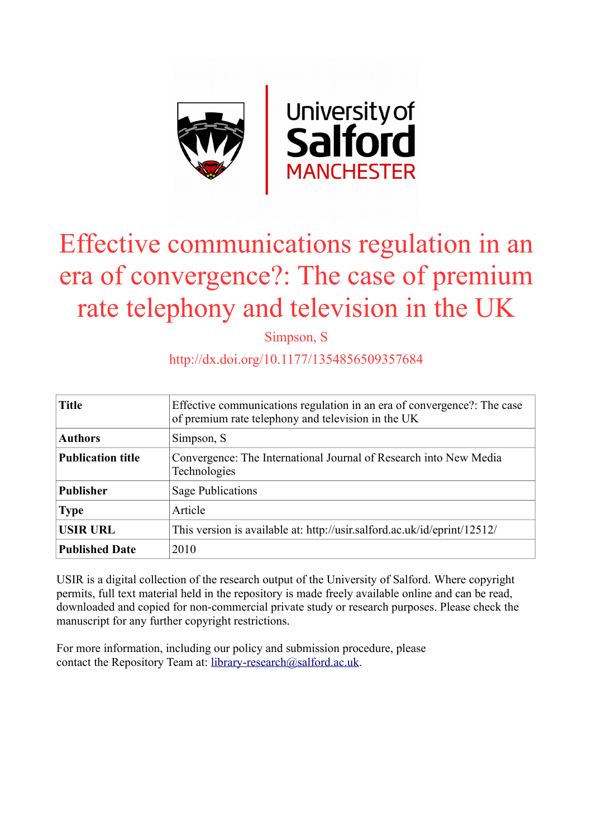

# Effective communications regulation in an era of convergence?: The case of premium rate telephony and television in the UK

Simpson, S

# http://dx.doi.org/10.1177/1354856509357684

| <b>Title</b>             | Effective communications regulation in an era of convergence?: The case<br>of premium rate telephony and television in the UK |
|--------------------------|-------------------------------------------------------------------------------------------------------------------------------|
| <b>Authors</b>           | Simpson, S                                                                                                                    |
| <b>Publication title</b> | Convergence: The International Journal of Research into New Media<br>Technologies                                             |
| <b>Publisher</b>         | <b>Sage Publications</b>                                                                                                      |
| <b>Type</b>              | Article                                                                                                                       |
| <b>USIR URL</b>          | This version is available at: http://usir.salford.ac.uk/id/eprint/12512/                                                      |
| <b>Published Date</b>    | 2010                                                                                                                          |

USIR is a digital collection of the research output of the University of Salford. Where copyright permits, full text material held in the repository is made freely available online and can be read, downloaded and copied for non-commercial private study or research purposes. Please check the manuscript for any further copyright restrictions.

For more information, including our policy and submission procedure, please contact the Repository Team at: [library-research@salford.ac.uk.](mailto:library-research@salford.ac.uk)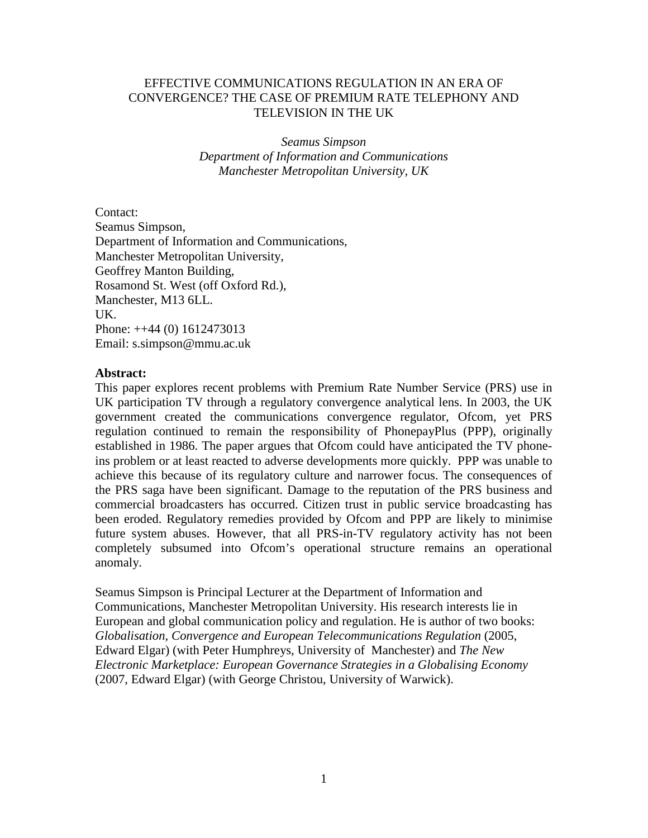# EFFECTIVE COMMUNICATIONS REGULATION IN AN ERA OF CONVERGENCE? THE CASE OF PREMIUM RATE TELEPHONY AND TELEVISION IN THE UK

*Seamus Simpson Department of Information and Communications Manchester Metropolitan University, UK*

Contact: Seamus Simpson, Department of Information and Communications, Manchester Metropolitan University, Geoffrey Manton Building, Rosamond St. West (off Oxford Rd.), Manchester, M13 6LL. UK. Phone: ++44 (0) 1612473013 Email: s.simpson@mmu.ac.uk

# **Abstract:**

This paper explores recent problems with Premium Rate Number Service (PRS) use in UK participation TV through a regulatory convergence analytical lens. In 2003, the UK government created the communications convergence regulator, Ofcom, yet PRS regulation continued to remain the responsibility of PhonepayPlus (PPP), originally established in 1986. The paper argues that Ofcom could have anticipated the TV phoneins problem or at least reacted to adverse developments more quickly. PPP was unable to achieve this because of its regulatory culture and narrower focus. The consequences of the PRS saga have been significant. Damage to the reputation of the PRS business and commercial broadcasters has occurred. Citizen trust in public service broadcasting has been eroded. Regulatory remedies provided by Ofcom and PPP are likely to minimise future system abuses. However, that all PRS-in-TV regulatory activity has not been completely subsumed into Ofcom's operational structure remains an operational anomaly.

Seamus Simpson is Principal Lecturer at the Department of Information and Communications, Manchester Metropolitan University. His research interests lie in European and global communication policy and regulation. He is author of two books: *Globalisation, Convergence and European Telecommunications Regulation* (2005, Edward Elgar) (with Peter Humphreys, University of Manchester) and *The New Electronic Marketplace: European Governance Strategies in a Globalising Economy*  (2007, Edward Elgar) (with George Christou, University of Warwick).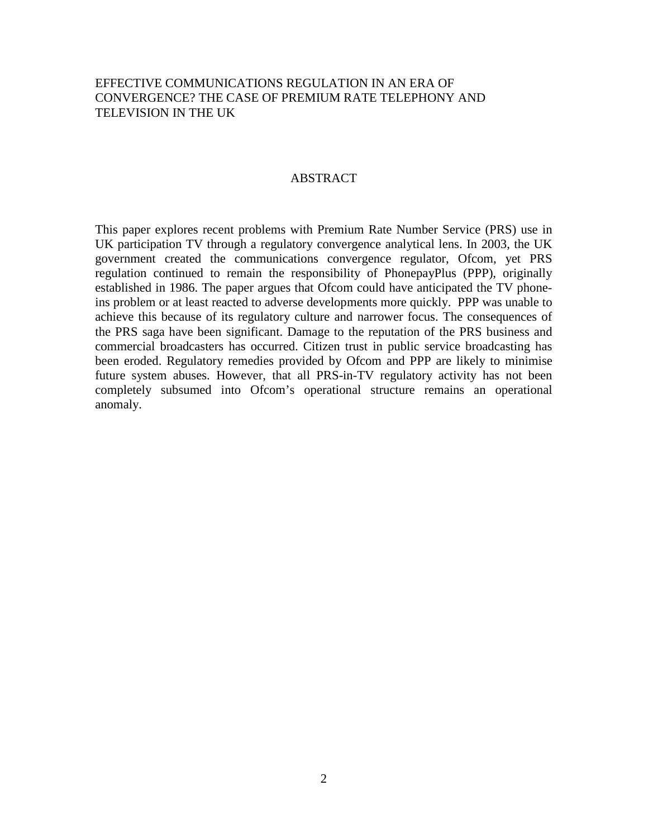# EFFECTIVE COMMUNICATIONS REGULATION IN AN ERA OF CONVERGENCE? THE CASE OF PREMIUM RATE TELEPHONY AND TELEVISION IN THE UK

## ABSTRACT

This paper explores recent problems with Premium Rate Number Service (PRS) use in UK participation TV through a regulatory convergence analytical lens. In 2003, the UK government created the communications convergence regulator, Ofcom, yet PRS regulation continued to remain the responsibility of PhonepayPlus (PPP), originally established in 1986. The paper argues that Ofcom could have anticipated the TV phoneins problem or at least reacted to adverse developments more quickly. PPP was unable to achieve this because of its regulatory culture and narrower focus. The consequences of the PRS saga have been significant. Damage to the reputation of the PRS business and commercial broadcasters has occurred. Citizen trust in public service broadcasting has been eroded. Regulatory remedies provided by Ofcom and PPP are likely to minimise future system abuses. However, that all PRS-in-TV regulatory activity has not been completely subsumed into Ofcom's operational structure remains an operational anomaly.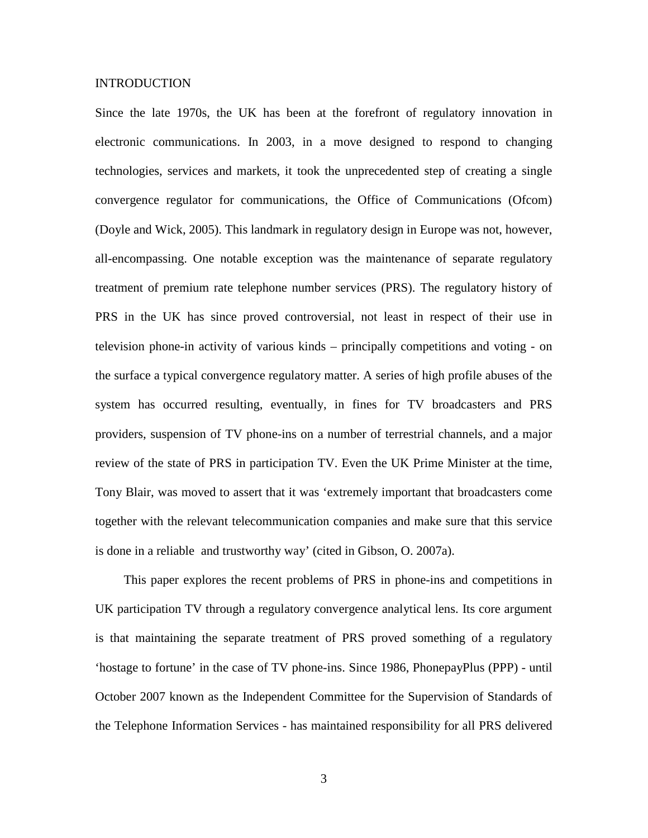#### INTRODUCTION

Since the late 1970s, the UK has been at the forefront of regulatory innovation in electronic communications. In 2003, in a move designed to respond to changing technologies, services and markets, it took the unprecedented step of creating a single convergence regulator for communications, the Office of Communications (Ofcom) (Doyle and Wick, 2005). This landmark in regulatory design in Europe was not, however, all-encompassing. One notable exception was the maintenance of separate regulatory treatment of premium rate telephone number services (PRS). The regulatory history of PRS in the UK has since proved controversial, not least in respect of their use in television phone-in activity of various kinds – principally competitions and voting - on the surface a typical convergence regulatory matter. A series of high profile abuses of the system has occurred resulting, eventually, in fines for TV broadcasters and PRS providers, suspension of TV phone-ins on a number of terrestrial channels, and a major review of the state of PRS in participation TV. Even the UK Prime Minister at the time, Tony Blair, was moved to assert that it was 'extremely important that broadcasters come together with the relevant telecommunication companies and make sure that this service is done in a reliable and trustworthy way' (cited in Gibson, O. 2007a).

This paper explores the recent problems of PRS in phone-ins and competitions in UK participation TV through a regulatory convergence analytical lens. Its core argument is that maintaining the separate treatment of PRS proved something of a regulatory 'hostage to fortune' in the case of TV phone-ins. Since 1986, PhonepayPlus (PPP) - until October 2007 known as the Independent Committee for the Supervision of Standards of the Telephone Information Services - has maintained responsibility for all PRS delivered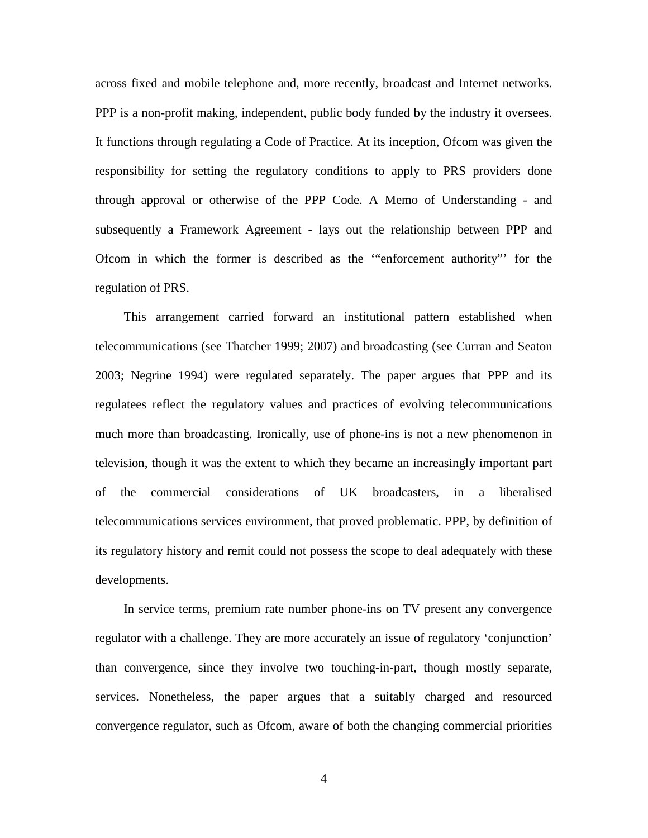across fixed and mobile telephone and, more recently, broadcast and Internet networks. PPP is a non-profit making, independent, public body funded by the industry it oversees. It functions through regulating a Code of Practice. At its inception, Ofcom was given the responsibility for setting the regulatory conditions to apply to PRS providers done through approval or otherwise of the PPP Code. A Memo of Understanding - and subsequently a Framework Agreement - lays out the relationship between PPP and Ofcom in which the former is described as the '"enforcement authority"' for the regulation of PRS.

This arrangement carried forward an institutional pattern established when telecommunications (see Thatcher 1999; 2007) and broadcasting (see Curran and Seaton 2003; Negrine 1994) were regulated separately. The paper argues that PPP and its regulatees reflect the regulatory values and practices of evolving telecommunications much more than broadcasting. Ironically, use of phone-ins is not a new phenomenon in television, though it was the extent to which they became an increasingly important part of the commercial considerations of UK broadcasters, in a liberalised telecommunications services environment, that proved problematic. PPP, by definition of its regulatory history and remit could not possess the scope to deal adequately with these developments.

In service terms, premium rate number phone-ins on TV present any convergence regulator with a challenge. They are more accurately an issue of regulatory 'conjunction' than convergence, since they involve two touching-in-part, though mostly separate, services. Nonetheless, the paper argues that a suitably charged and resourced convergence regulator, such as Ofcom, aware of both the changing commercial priorities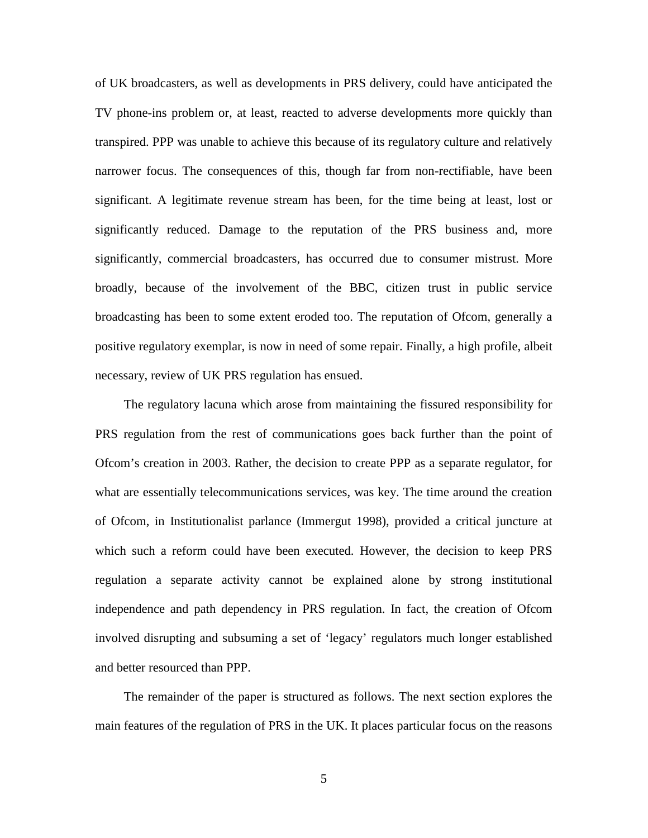of UK broadcasters, as well as developments in PRS delivery, could have anticipated the TV phone-ins problem or, at least, reacted to adverse developments more quickly than transpired. PPP was unable to achieve this because of its regulatory culture and relatively narrower focus. The consequences of this, though far from non-rectifiable, have been significant. A legitimate revenue stream has been, for the time being at least, lost or significantly reduced. Damage to the reputation of the PRS business and, more significantly, commercial broadcasters, has occurred due to consumer mistrust. More broadly, because of the involvement of the BBC, citizen trust in public service broadcasting has been to some extent eroded too. The reputation of Ofcom, generally a positive regulatory exemplar, is now in need of some repair. Finally, a high profile, albeit necessary, review of UK PRS regulation has ensued.

The regulatory lacuna which arose from maintaining the fissured responsibility for PRS regulation from the rest of communications goes back further than the point of Ofcom's creation in 2003. Rather, the decision to create PPP as a separate regulator, for what are essentially telecommunications services, was key. The time around the creation of Ofcom, in Institutionalist parlance (Immergut 1998), provided a critical juncture at which such a reform could have been executed. However, the decision to keep PRS regulation a separate activity cannot be explained alone by strong institutional independence and path dependency in PRS regulation. In fact, the creation of Ofcom involved disrupting and subsuming a set of 'legacy' regulators much longer established and better resourced than PPP.

The remainder of the paper is structured as follows. The next section explores the main features of the regulation of PRS in the UK. It places particular focus on the reasons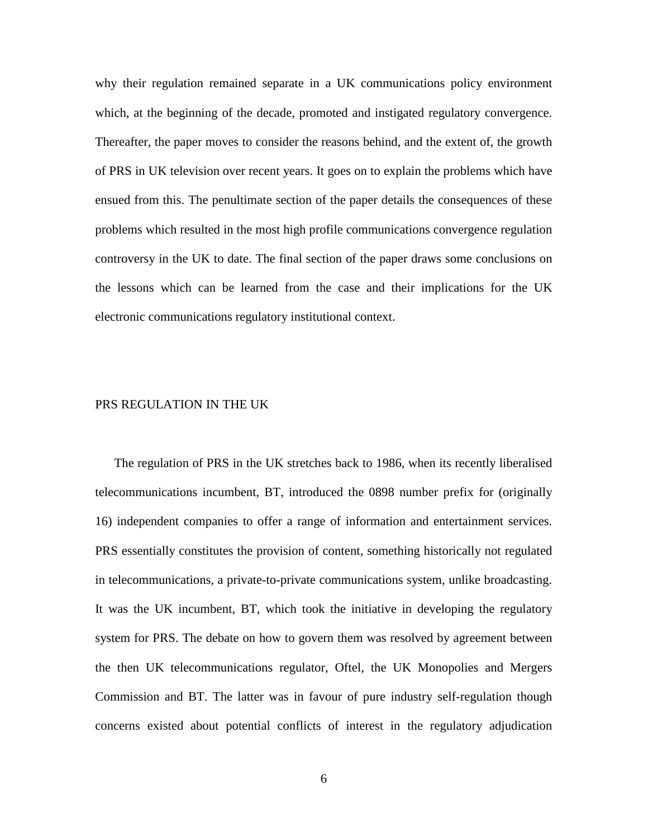why their regulation remained separate in a UK communications policy environment which, at the beginning of the decade, promoted and instigated regulatory convergence. Thereafter, the paper moves to consider the reasons behind, and the extent of, the growth of PRS in UK television over recent years. It goes on to explain the problems which have ensued from this. The penultimate section of the paper details the consequences of these problems which resulted in the most high profile communications convergence regulation controversy in the UK to date. The final section of the paper draws some conclusions on the lessons which can be learned from the case and their implications for the UK electronic communications regulatory institutional context.

# PRS REGULATION IN THE UK

The regulation of PRS in the UK stretches back to 1986, when its recently liberalised telecommunications incumbent, BT, introduced the 0898 number prefix for (originally 16) independent companies to offer a range of information and entertainment services. PRS essentially constitutes the provision of content, something historically not regulated in telecommunications, a private-to-private communications system, unlike broadcasting. It was the UK incumbent, BT, which took the initiative in developing the regulatory system for PRS. The debate on how to govern them was resolved by agreement between the then UK telecommunications regulator, Oftel, the UK Monopolies and Mergers Commission and BT. The latter was in favour of pure industry self-regulation though concerns existed about potential conflicts of interest in the regulatory adjudication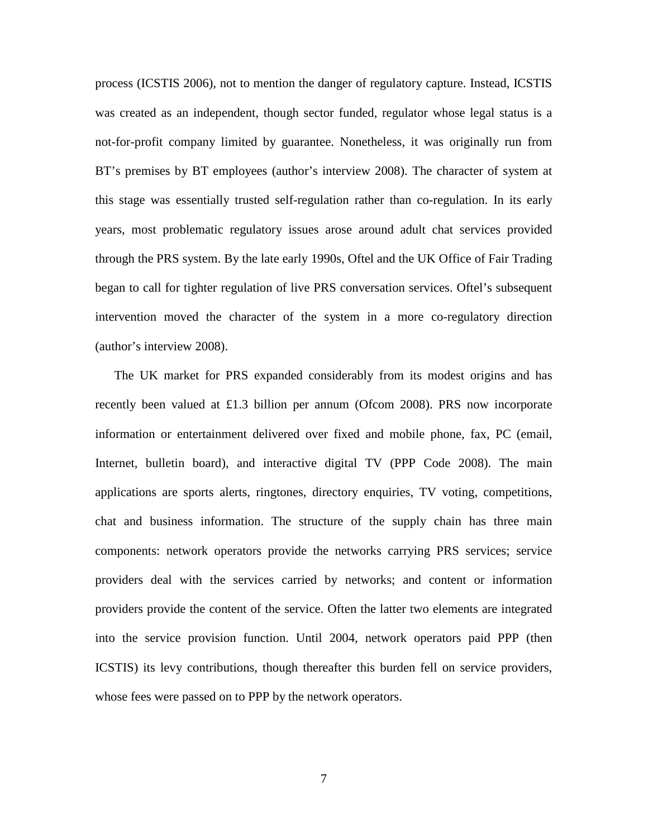process (ICSTIS 2006), not to mention the danger of regulatory capture. Instead, ICSTIS was created as an independent, though sector funded, regulator whose legal status is a not-for-profit company limited by guarantee. Nonetheless, it was originally run from BT's premises by BT employees (author's interview 2008). The character of system at this stage was essentially trusted self-regulation rather than co-regulation. In its early years, most problematic regulatory issues arose around adult chat services provided through the PRS system. By the late early 1990s, Oftel and the UK Office of Fair Trading began to call for tighter regulation of live PRS conversation services. Oftel's subsequent intervention moved the character of the system in a more co-regulatory direction (author's interview 2008).

The UK market for PRS expanded considerably from its modest origins and has recently been valued at £1.3 billion per annum (Ofcom 2008). PRS now incorporate information or entertainment delivered over fixed and mobile phone, fax, PC (email, Internet, bulletin board), and interactive digital TV (PPP Code 2008). The main applications are sports alerts, ringtones, directory enquiries, TV voting, competitions, chat and business information. The structure of the supply chain has three main components: network operators provide the networks carrying PRS services; service providers deal with the services carried by networks; and content or information providers provide the content of the service. Often the latter two elements are integrated into the service provision function. Until 2004, network operators paid PPP (then ICSTIS) its levy contributions, though thereafter this burden fell on service providers, whose fees were passed on to PPP by the network operators.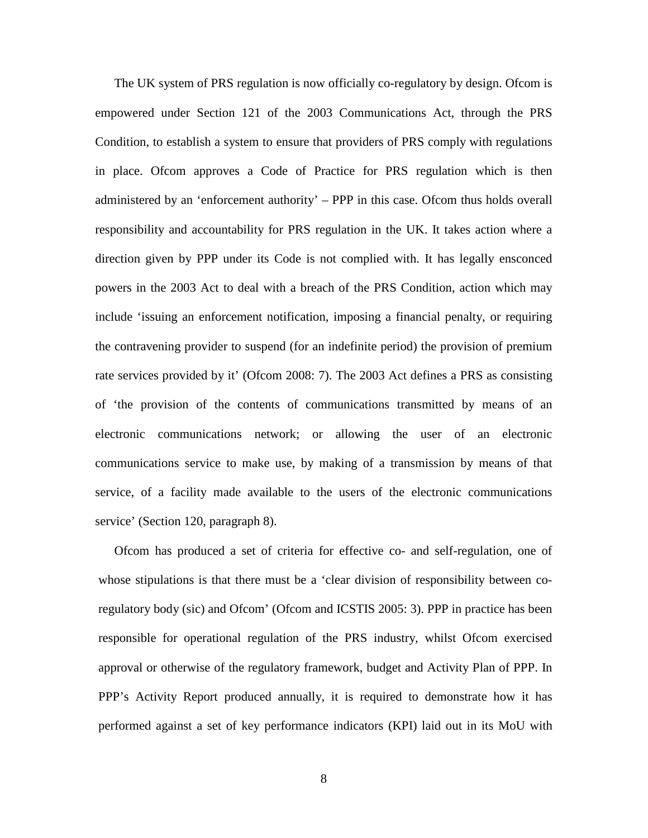The UK system of PRS regulation is now officially co-regulatory by design. Ofcom is empowered under Section 121 of the 2003 Communications Act, through the PRS Condition, to establish a system to ensure that providers of PRS comply with regulations in place. Ofcom approves a Code of Practice for PRS regulation which is then administered by an 'enforcement authority' – PPP in this case. Ofcom thus holds overall responsibility and accountability for PRS regulation in the UK. It takes action where a direction given by PPP under its Code is not complied with. It has legally ensconced powers in the 2003 Act to deal with a breach of the PRS Condition, action which may include 'issuing an enforcement notification, imposing a financial penalty, or requiring the contravening provider to suspend (for an indefinite period) the provision of premium rate services provided by it' (Ofcom 2008: 7). The 2003 Act defines a PRS as consisting of 'the provision of the contents of communications transmitted by means of an electronic communications network; or allowing the user of an electronic communications service to make use, by making of a transmission by means of that service, of a facility made available to the users of the electronic communications service' (Section 120, paragraph 8).

Ofcom has produced a set of criteria for effective co- and self-regulation, one of whose stipulations is that there must be a 'clear division of responsibility between coregulatory body (sic) and Ofcom' (Ofcom and ICSTIS 2005: 3). PPP in practice has been responsible for operational regulation of the PRS industry, whilst Ofcom exercised approval or otherwise of the regulatory framework, budget and Activity Plan of PPP. In PPP's Activity Report produced annually, it is required to demonstrate how it has performed against a set of key performance indicators (KPI) laid out in its MoU with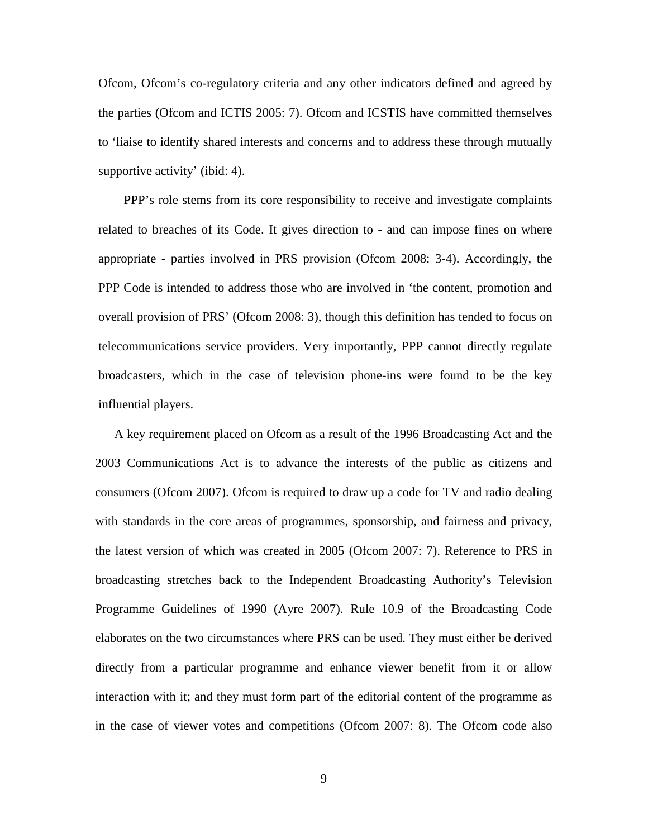Ofcom, Ofcom's co-regulatory criteria and any other indicators defined and agreed by the parties (Ofcom and ICTIS 2005: 7). Ofcom and ICSTIS have committed themselves to 'liaise to identify shared interests and concerns and to address these through mutually supportive activity' (ibid: 4).

PPP's role stems from its core responsibility to receive and investigate complaints related to breaches of its Code. It gives direction to - and can impose fines on where appropriate - parties involved in PRS provision (Ofcom 2008: 3-4). Accordingly, the PPP Code is intended to address those who are involved in 'the content, promotion and overall provision of PRS' (Ofcom 2008: 3), though this definition has tended to focus on telecommunications service providers. Very importantly, PPP cannot directly regulate broadcasters, which in the case of television phone-ins were found to be the key influential players.

A key requirement placed on Ofcom as a result of the 1996 Broadcasting Act and the 2003 Communications Act is to advance the interests of the public as citizens and consumers (Ofcom 2007). Ofcom is required to draw up a code for TV and radio dealing with standards in the core areas of programmes, sponsorship, and fairness and privacy, the latest version of which was created in 2005 (Ofcom 2007: 7). Reference to PRS in broadcasting stretches back to the Independent Broadcasting Authority's Television Programme Guidelines of 1990 (Ayre 2007). Rule 10.9 of the Broadcasting Code elaborates on the two circumstances where PRS can be used. They must either be derived directly from a particular programme and enhance viewer benefit from it or allow interaction with it; and they must form part of the editorial content of the programme as in the case of viewer votes and competitions (Ofcom 2007: 8). The Ofcom code also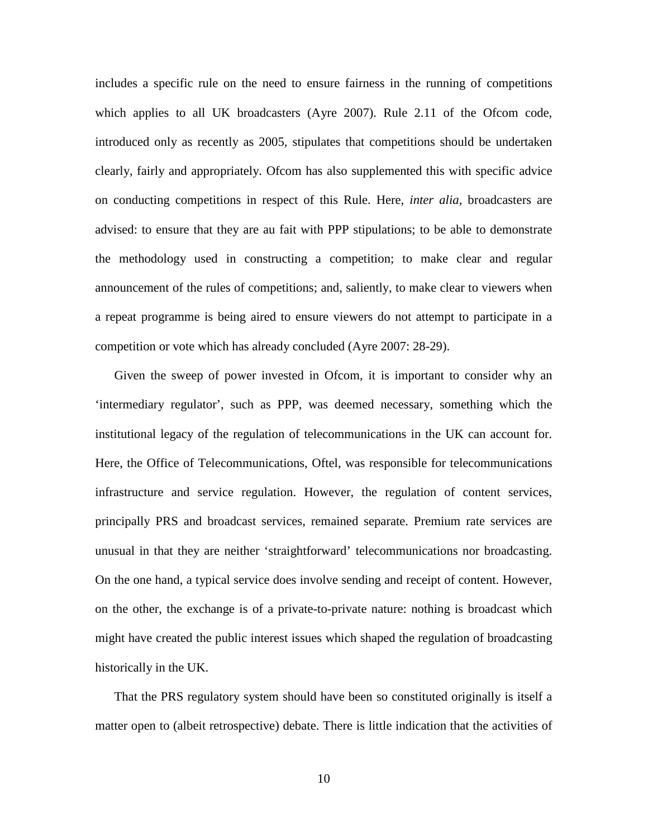includes a specific rule on the need to ensure fairness in the running of competitions which applies to all UK broadcasters (Ayre 2007). Rule 2.11 of the Ofcom code, introduced only as recently as 2005, stipulates that competitions should be undertaken clearly, fairly and appropriately. Ofcom has also supplemented this with specific advice on conducting competitions in respect of this Rule. Here, *inter alia,* broadcasters are advised: to ensure that they are au fait with PPP stipulations; to be able to demonstrate the methodology used in constructing a competition; to make clear and regular announcement of the rules of competitions; and, saliently, to make clear to viewers when a repeat programme is being aired to ensure viewers do not attempt to participate in a competition or vote which has already concluded (Ayre 2007: 28-29).

Given the sweep of power invested in Ofcom, it is important to consider why an 'intermediary regulator', such as PPP, was deemed necessary, something which the institutional legacy of the regulation of telecommunications in the UK can account for. Here, the Office of Telecommunications, Oftel, was responsible for telecommunications infrastructure and service regulation. However, the regulation of content services, principally PRS and broadcast services, remained separate. Premium rate services are unusual in that they are neither 'straightforward' telecommunications nor broadcasting. On the one hand, a typical service does involve sending and receipt of content. However, on the other, the exchange is of a private-to-private nature: nothing is broadcast which might have created the public interest issues which shaped the regulation of broadcasting historically in the UK.

That the PRS regulatory system should have been so constituted originally is itself a matter open to (albeit retrospective) debate. There is little indication that the activities of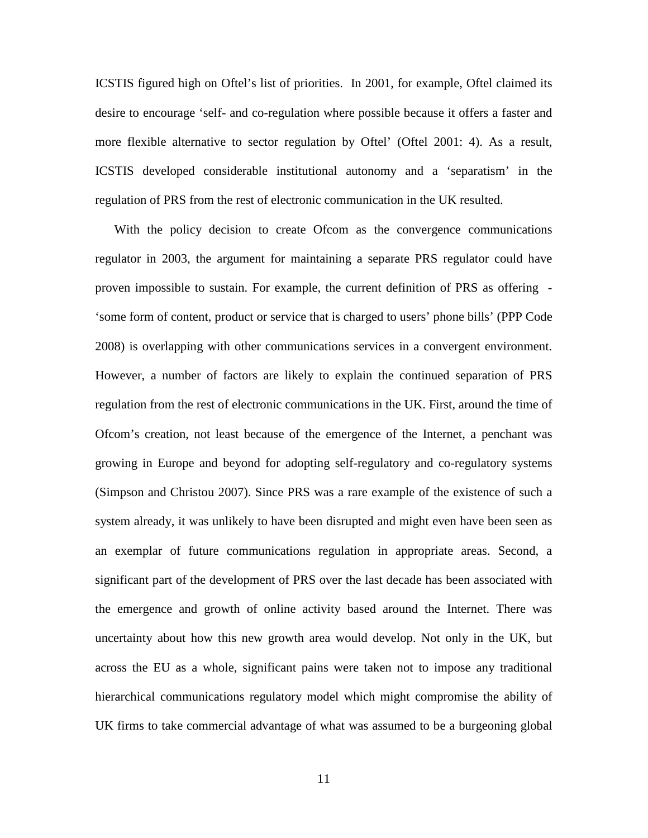ICSTIS figured high on Oftel's list of priorities. In 2001, for example, Oftel claimed its desire to encourage 'self- and co-regulation where possible because it offers a faster and more flexible alternative to sector regulation by Oftel' (Oftel 2001: 4). As a result, ICSTIS developed considerable institutional autonomy and a 'separatism' in the regulation of PRS from the rest of electronic communication in the UK resulted.

With the policy decision to create Ofcom as the convergence communications regulator in 2003, the argument for maintaining a separate PRS regulator could have proven impossible to sustain. For example, the current definition of PRS as offering - 'some form of content, product or service that is charged to users' phone bills' (PPP Code 2008) is overlapping with other communications services in a convergent environment. However, a number of factors are likely to explain the continued separation of PRS regulation from the rest of electronic communications in the UK. First, around the time of Ofcom's creation, not least because of the emergence of the Internet, a penchant was growing in Europe and beyond for adopting self-regulatory and co-regulatory systems (Simpson and Christou 2007). Since PRS was a rare example of the existence of such a system already, it was unlikely to have been disrupted and might even have been seen as an exemplar of future communications regulation in appropriate areas. Second, a significant part of the development of PRS over the last decade has been associated with the emergence and growth of online activity based around the Internet. There was uncertainty about how this new growth area would develop. Not only in the UK, but across the EU as a whole, significant pains were taken not to impose any traditional hierarchical communications regulatory model which might compromise the ability of UK firms to take commercial advantage of what was assumed to be a burgeoning global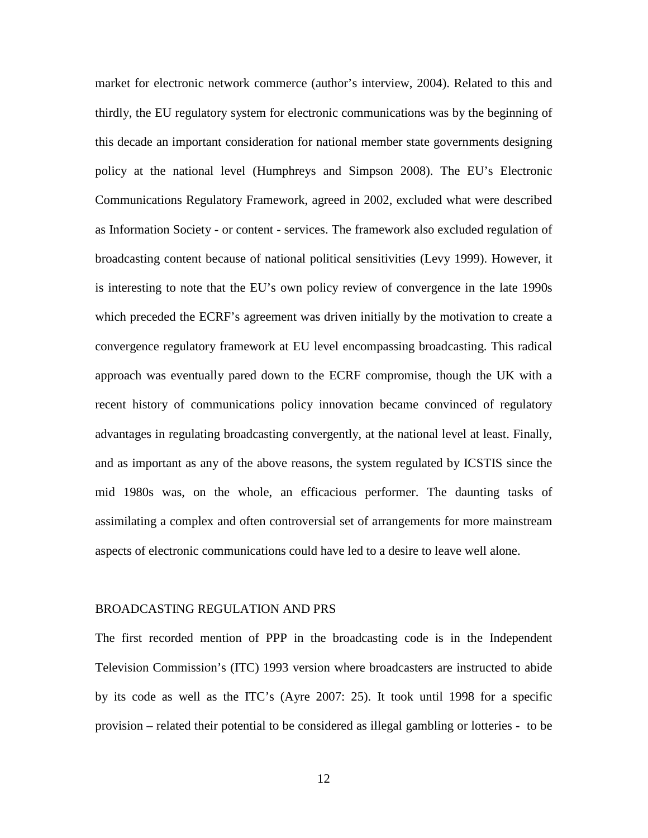market for electronic network commerce (author's interview, 2004). Related to this and thirdly, the EU regulatory system for electronic communications was by the beginning of this decade an important consideration for national member state governments designing policy at the national level (Humphreys and Simpson 2008). The EU's Electronic Communications Regulatory Framework, agreed in 2002, excluded what were described as Information Society - or content - services. The framework also excluded regulation of broadcasting content because of national political sensitivities (Levy 1999). However, it is interesting to note that the EU's own policy review of convergence in the late 1990s which preceded the ECRF's agreement was driven initially by the motivation to create a convergence regulatory framework at EU level encompassing broadcasting. This radical approach was eventually pared down to the ECRF compromise, though the UK with a recent history of communications policy innovation became convinced of regulatory advantages in regulating broadcasting convergently, at the national level at least. Finally, and as important as any of the above reasons, the system regulated by ICSTIS since the mid 1980s was, on the whole, an efficacious performer. The daunting tasks of assimilating a complex and often controversial set of arrangements for more mainstream aspects of electronic communications could have led to a desire to leave well alone.

#### BROADCASTING REGULATION AND PRS

The first recorded mention of PPP in the broadcasting code is in the Independent Television Commission's (ITC) 1993 version where broadcasters are instructed to abide by its code as well as the ITC's (Ayre 2007: 25). It took until 1998 for a specific provision – related their potential to be considered as illegal gambling or lotteries - to be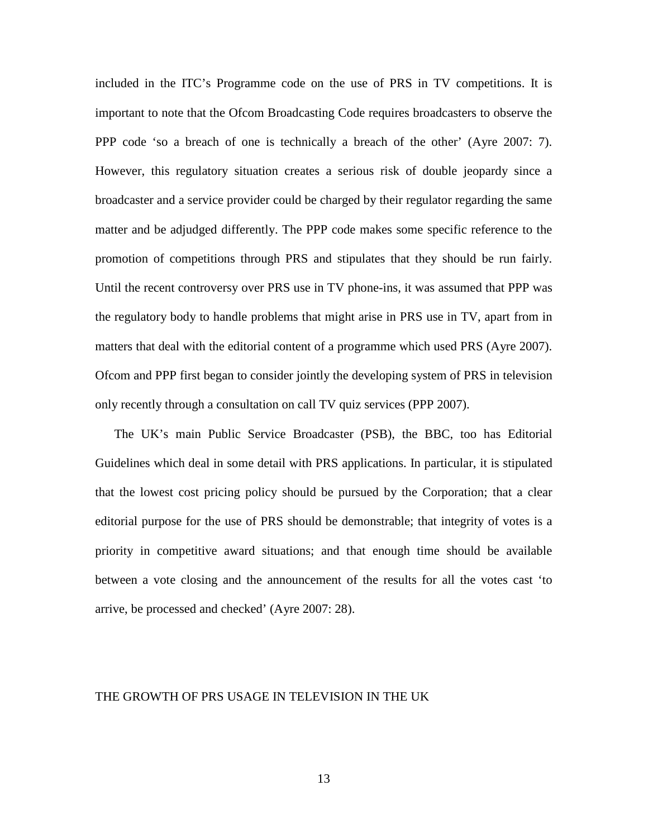included in the ITC's Programme code on the use of PRS in TV competitions. It is important to note that the Ofcom Broadcasting Code requires broadcasters to observe the PPP code 'so a breach of one is technically a breach of the other' (Ayre 2007: 7). However, this regulatory situation creates a serious risk of double jeopardy since a broadcaster and a service provider could be charged by their regulator regarding the same matter and be adjudged differently. The PPP code makes some specific reference to the promotion of competitions through PRS and stipulates that they should be run fairly. Until the recent controversy over PRS use in TV phone-ins, it was assumed that PPP was the regulatory body to handle problems that might arise in PRS use in TV, apart from in matters that deal with the editorial content of a programme which used PRS (Ayre 2007). Ofcom and PPP first began to consider jointly the developing system of PRS in television only recently through a consultation on call TV quiz services (PPP 2007).

The UK's main Public Service Broadcaster (PSB), the BBC, too has Editorial Guidelines which deal in some detail with PRS applications. In particular, it is stipulated that the lowest cost pricing policy should be pursued by the Corporation; that a clear editorial purpose for the use of PRS should be demonstrable; that integrity of votes is a priority in competitive award situations; and that enough time should be available between a vote closing and the announcement of the results for all the votes cast 'to arrive, be processed and checked' (Ayre 2007: 28).

#### THE GROWTH OF PRS USAGE IN TELEVISION IN THE UK

13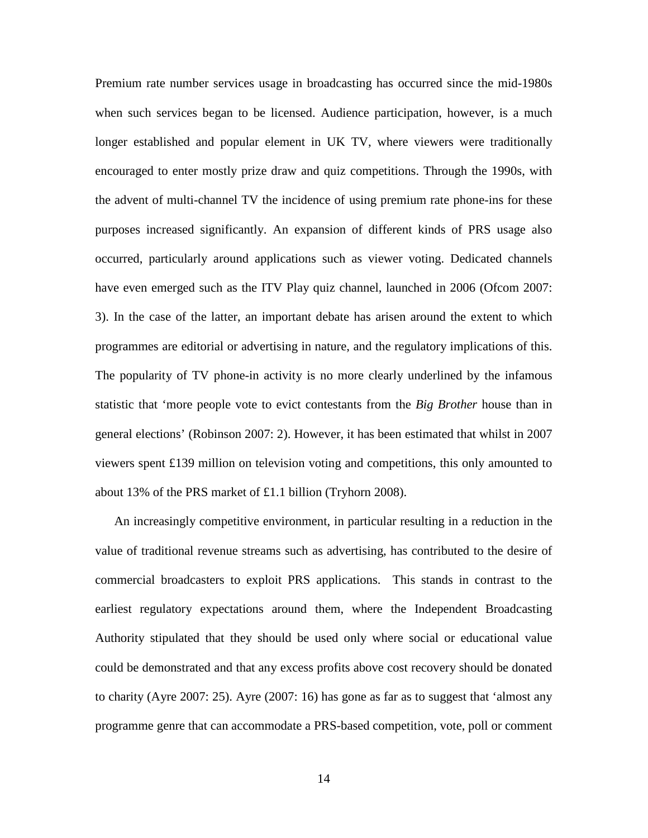Premium rate number services usage in broadcasting has occurred since the mid-1980s when such services began to be licensed. Audience participation, however, is a much longer established and popular element in UK TV, where viewers were traditionally encouraged to enter mostly prize draw and quiz competitions. Through the 1990s, with the advent of multi-channel TV the incidence of using premium rate phone-ins for these purposes increased significantly. An expansion of different kinds of PRS usage also occurred, particularly around applications such as viewer voting. Dedicated channels have even emerged such as the ITV Play quiz channel, launched in 2006 (Ofcom 2007: 3). In the case of the latter, an important debate has arisen around the extent to which programmes are editorial or advertising in nature, and the regulatory implications of this. The popularity of TV phone-in activity is no more clearly underlined by the infamous statistic that 'more people vote to evict contestants from the *Big Brother* house than in general elections' (Robinson 2007: 2). However, it has been estimated that whilst in 2007 viewers spent £139 million on television voting and competitions, this only amounted to about 13% of the PRS market of £1.1 billion (Tryhorn 2008).

An increasingly competitive environment, in particular resulting in a reduction in the value of traditional revenue streams such as advertising, has contributed to the desire of commercial broadcasters to exploit PRS applications. This stands in contrast to the earliest regulatory expectations around them, where the Independent Broadcasting Authority stipulated that they should be used only where social or educational value could be demonstrated and that any excess profits above cost recovery should be donated to charity (Ayre 2007: 25). Ayre (2007: 16) has gone as far as to suggest that 'almost any programme genre that can accommodate a PRS-based competition, vote, poll or comment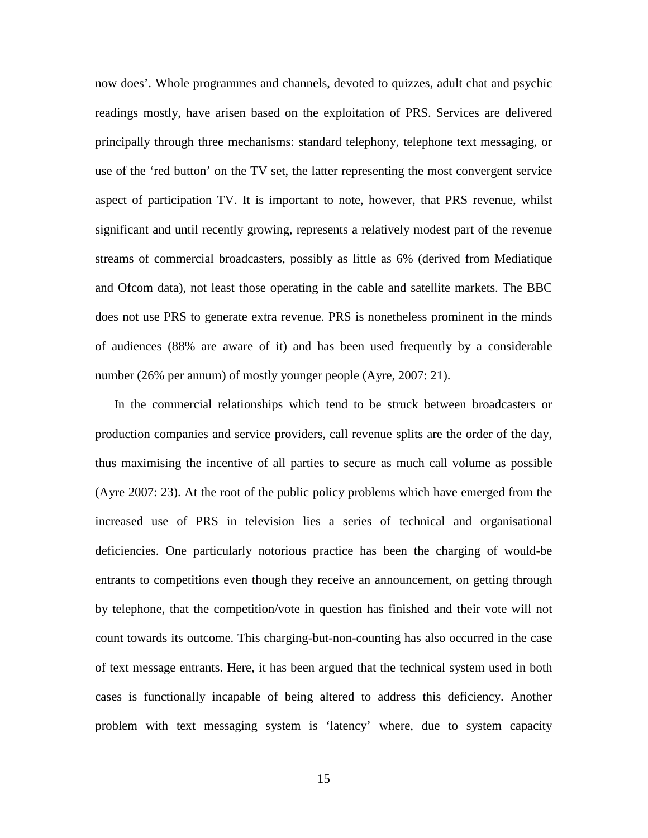now does'. Whole programmes and channels, devoted to quizzes, adult chat and psychic readings mostly, have arisen based on the exploitation of PRS. Services are delivered principally through three mechanisms: standard telephony, telephone text messaging, or use of the 'red button' on the TV set, the latter representing the most convergent service aspect of participation TV. It is important to note, however, that PRS revenue, whilst significant and until recently growing, represents a relatively modest part of the revenue streams of commercial broadcasters, possibly as little as 6% (derived from Mediatique and Ofcom data), not least those operating in the cable and satellite markets. The BBC does not use PRS to generate extra revenue. PRS is nonetheless prominent in the minds of audiences (88% are aware of it) and has been used frequently by a considerable number (26% per annum) of mostly younger people (Ayre, 2007: 21).

In the commercial relationships which tend to be struck between broadcasters or production companies and service providers, call revenue splits are the order of the day, thus maximising the incentive of all parties to secure as much call volume as possible (Ayre 2007: 23). At the root of the public policy problems which have emerged from the increased use of PRS in television lies a series of technical and organisational deficiencies. One particularly notorious practice has been the charging of would-be entrants to competitions even though they receive an announcement, on getting through by telephone, that the competition/vote in question has finished and their vote will not count towards its outcome. This charging-but-non-counting has also occurred in the case of text message entrants. Here, it has been argued that the technical system used in both cases is functionally incapable of being altered to address this deficiency. Another problem with text messaging system is 'latency' where, due to system capacity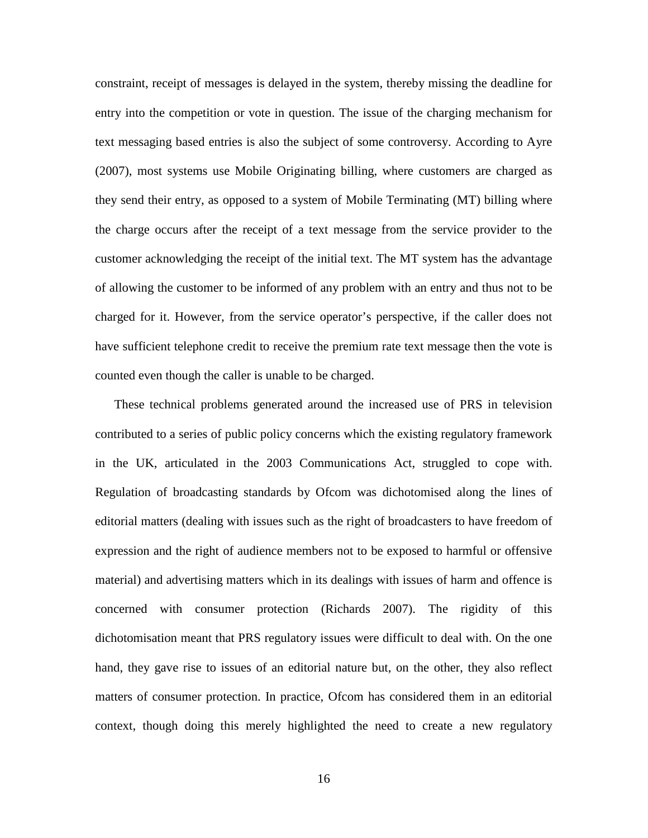constraint, receipt of messages is delayed in the system, thereby missing the deadline for entry into the competition or vote in question. The issue of the charging mechanism for text messaging based entries is also the subject of some controversy. According to Ayre (2007), most systems use Mobile Originating billing, where customers are charged as they send their entry, as opposed to a system of Mobile Terminating (MT) billing where the charge occurs after the receipt of a text message from the service provider to the customer acknowledging the receipt of the initial text. The MT system has the advantage of allowing the customer to be informed of any problem with an entry and thus not to be charged for it. However, from the service operator's perspective, if the caller does not have sufficient telephone credit to receive the premium rate text message then the vote is counted even though the caller is unable to be charged.

These technical problems generated around the increased use of PRS in television contributed to a series of public policy concerns which the existing regulatory framework in the UK, articulated in the 2003 Communications Act, struggled to cope with. Regulation of broadcasting standards by Ofcom was dichotomised along the lines of editorial matters (dealing with issues such as the right of broadcasters to have freedom of expression and the right of audience members not to be exposed to harmful or offensive material) and advertising matters which in its dealings with issues of harm and offence is concerned with consumer protection (Richards 2007). The rigidity of this dichotomisation meant that PRS regulatory issues were difficult to deal with. On the one hand, they gave rise to issues of an editorial nature but, on the other, they also reflect matters of consumer protection. In practice, Ofcom has considered them in an editorial context, though doing this merely highlighted the need to create a new regulatory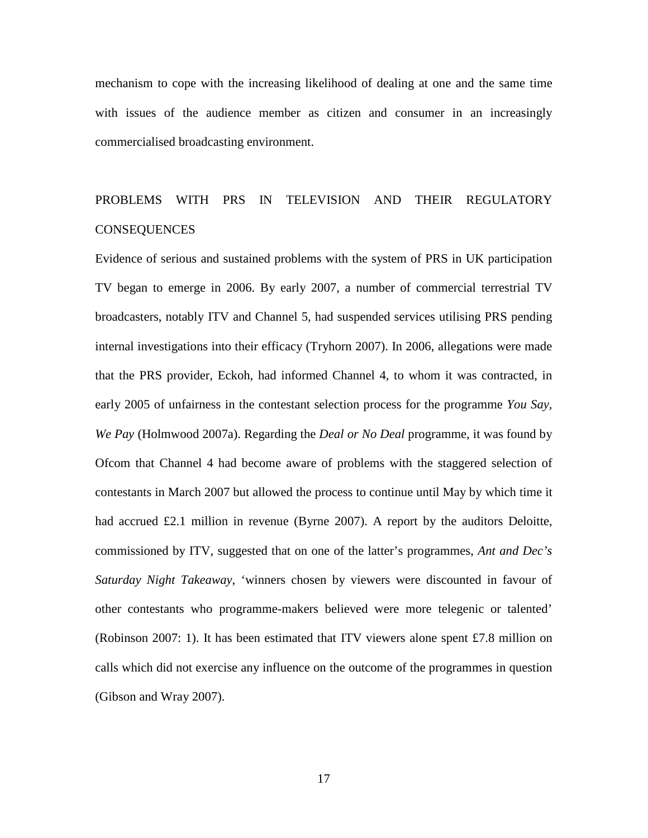mechanism to cope with the increasing likelihood of dealing at one and the same time with issues of the audience member as citizen and consumer in an increasingly commercialised broadcasting environment.

# PROBLEMS WITH PRS IN TELEVISION AND THEIR REGULATORY **CONSEQUENCES**

Evidence of serious and sustained problems with the system of PRS in UK participation TV began to emerge in 2006. By early 2007, a number of commercial terrestrial TV broadcasters, notably ITV and Channel 5, had suspended services utilising PRS pending internal investigations into their efficacy (Tryhorn 2007). In 2006, allegations were made that the PRS provider, Eckoh, had informed Channel 4, to whom it was contracted, in early 2005 of unfairness in the contestant selection process for the programme *You Say, We Pay* (Holmwood 2007a). Regarding the *Deal or No Deal* programme, it was found by Ofcom that Channel 4 had become aware of problems with the staggered selection of contestants in March 2007 but allowed the process to continue until May by which time it had accrued £2.1 million in revenue (Byrne 2007). A report by the auditors Deloitte, commissioned by ITV, suggested that on one of the latter's programmes, *Ant and Dec's Saturday Night Takeaway*, 'winners chosen by viewers were discounted in favour of other contestants who programme-makers believed were more telegenic or talented' (Robinson 2007: 1). It has been estimated that ITV viewers alone spent £7.8 million on calls which did not exercise any influence on the outcome of the programmes in question (Gibson and Wray 2007).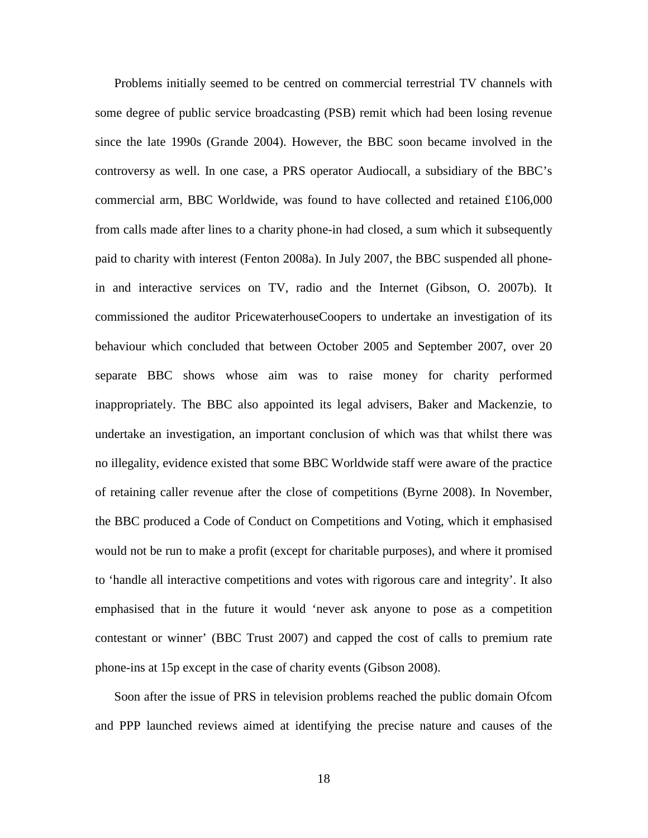Problems initially seemed to be centred on commercial terrestrial TV channels with some degree of public service broadcasting (PSB) remit which had been losing revenue since the late 1990s (Grande 2004). However, the BBC soon became involved in the controversy as well. In one case, a PRS operator Audiocall, a subsidiary of the BBC's commercial arm, BBC Worldwide, was found to have collected and retained £106,000 from calls made after lines to a charity phone-in had closed, a sum which it subsequently paid to charity with interest (Fenton 2008a). In July 2007, the BBC suspended all phonein and interactive services on TV, radio and the Internet (Gibson, O. 2007b). It commissioned the auditor PricewaterhouseCoopers to undertake an investigation of its behaviour which concluded that between October 2005 and September 2007, over 20 separate BBC shows whose aim was to raise money for charity performed inappropriately. The BBC also appointed its legal advisers, Baker and Mackenzie, to undertake an investigation, an important conclusion of which was that whilst there was no illegality, evidence existed that some BBC Worldwide staff were aware of the practice of retaining caller revenue after the close of competitions (Byrne 2008). In November, the BBC produced a Code of Conduct on Competitions and Voting, which it emphasised would not be run to make a profit (except for charitable purposes), and where it promised to 'handle all interactive competitions and votes with rigorous care and integrity'. It also emphasised that in the future it would 'never ask anyone to pose as a competition contestant or winner' (BBC Trust 2007) and capped the cost of calls to premium rate phone-ins at 15p except in the case of charity events (Gibson 2008).

Soon after the issue of PRS in television problems reached the public domain Ofcom and PPP launched reviews aimed at identifying the precise nature and causes of the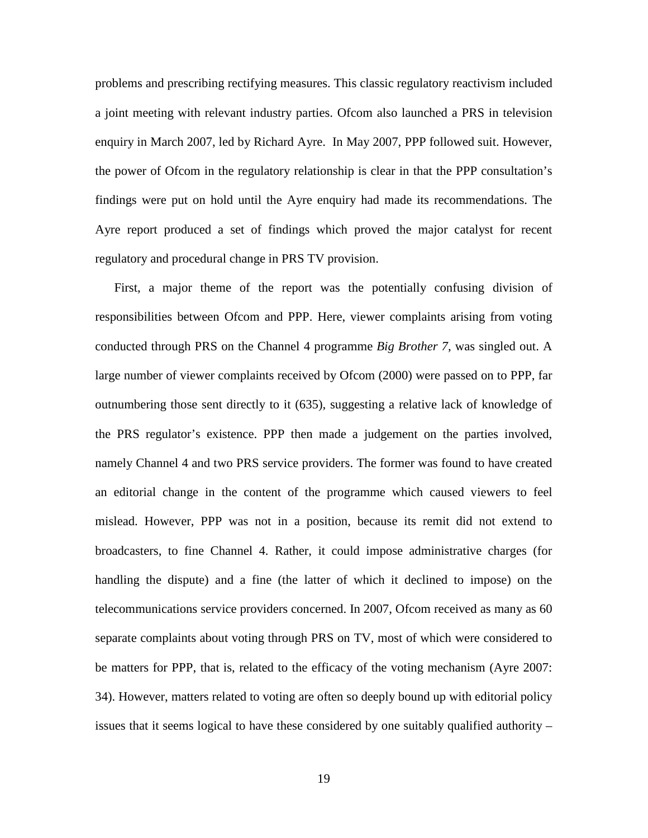problems and prescribing rectifying measures. This classic regulatory reactivism included a joint meeting with relevant industry parties. Ofcom also launched a PRS in television enquiry in March 2007, led by Richard Ayre. In May 2007, PPP followed suit. However, the power of Ofcom in the regulatory relationship is clear in that the PPP consultation's findings were put on hold until the Ayre enquiry had made its recommendations. The Ayre report produced a set of findings which proved the major catalyst for recent regulatory and procedural change in PRS TV provision.

First, a major theme of the report was the potentially confusing division of responsibilities between Ofcom and PPP. Here, viewer complaints arising from voting conducted through PRS on the Channel 4 programme *Big Brother 7*, was singled out. A large number of viewer complaints received by Ofcom (2000) were passed on to PPP, far outnumbering those sent directly to it (635), suggesting a relative lack of knowledge of the PRS regulator's existence. PPP then made a judgement on the parties involved, namely Channel 4 and two PRS service providers. The former was found to have created an editorial change in the content of the programme which caused viewers to feel mislead. However, PPP was not in a position, because its remit did not extend to broadcasters, to fine Channel 4. Rather, it could impose administrative charges (for handling the dispute) and a fine (the latter of which it declined to impose) on the telecommunications service providers concerned. In 2007, Ofcom received as many as 60 separate complaints about voting through PRS on TV, most of which were considered to be matters for PPP, that is, related to the efficacy of the voting mechanism (Ayre 2007: 34). However, matters related to voting are often so deeply bound up with editorial policy issues that it seems logical to have these considered by one suitably qualified authority –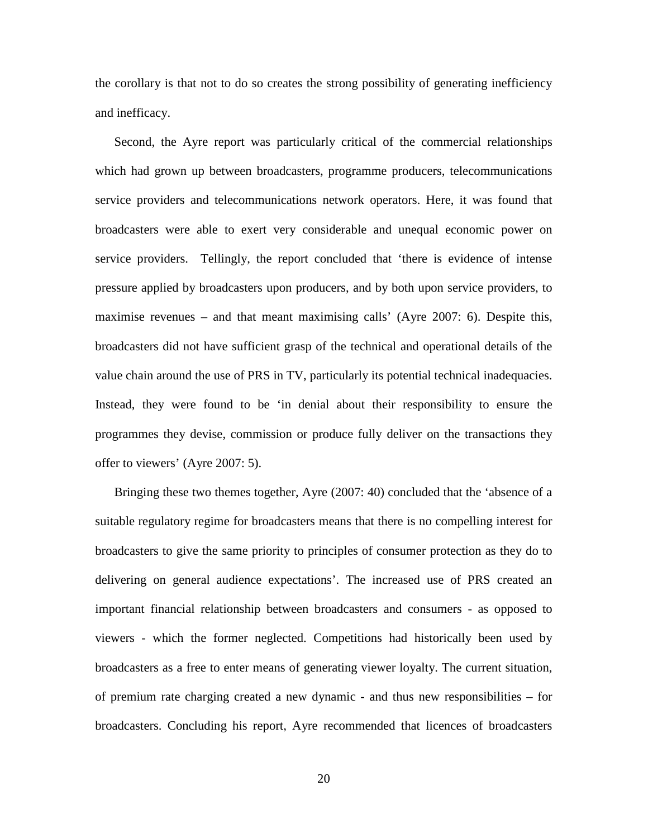the corollary is that not to do so creates the strong possibility of generating inefficiency and inefficacy.

Second, the Ayre report was particularly critical of the commercial relationships which had grown up between broadcasters, programme producers, telecommunications service providers and telecommunications network operators. Here, it was found that broadcasters were able to exert very considerable and unequal economic power on service providers. Tellingly, the report concluded that 'there is evidence of intense pressure applied by broadcasters upon producers, and by both upon service providers, to maximise revenues – and that meant maximising calls' (Ayre 2007: 6). Despite this, broadcasters did not have sufficient grasp of the technical and operational details of the value chain around the use of PRS in TV, particularly its potential technical inadequacies. Instead, they were found to be 'in denial about their responsibility to ensure the programmes they devise, commission or produce fully deliver on the transactions they offer to viewers' (Ayre 2007: 5).

Bringing these two themes together, Ayre (2007: 40) concluded that the 'absence of a suitable regulatory regime for broadcasters means that there is no compelling interest for broadcasters to give the same priority to principles of consumer protection as they do to delivering on general audience expectations'. The increased use of PRS created an important financial relationship between broadcasters and consumers - as opposed to viewers - which the former neglected. Competitions had historically been used by broadcasters as a free to enter means of generating viewer loyalty. The current situation, of premium rate charging created a new dynamic - and thus new responsibilities – for broadcasters. Concluding his report, Ayre recommended that licences of broadcasters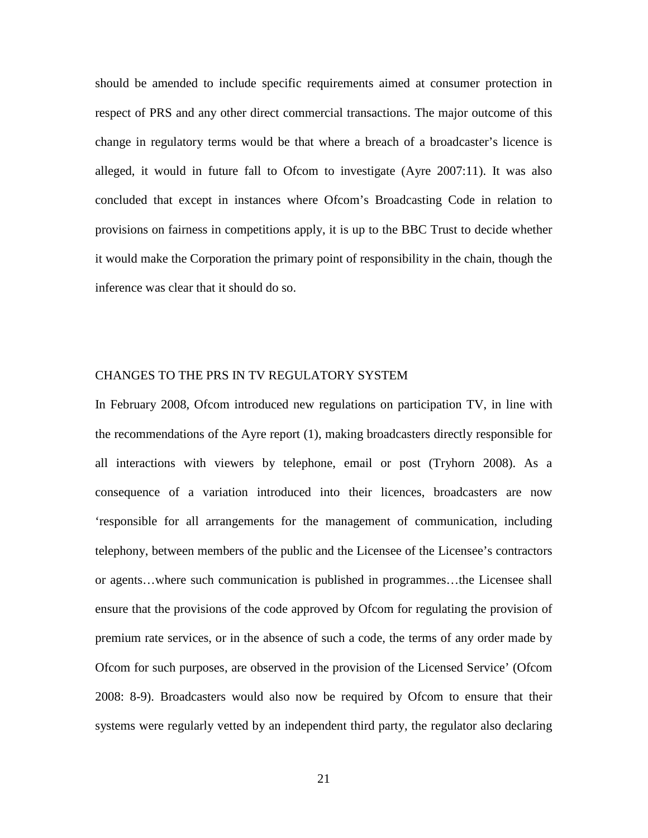should be amended to include specific requirements aimed at consumer protection in respect of PRS and any other direct commercial transactions. The major outcome of this change in regulatory terms would be that where a breach of a broadcaster's licence is alleged, it would in future fall to Ofcom to investigate (Ayre 2007:11). It was also concluded that except in instances where Ofcom's Broadcasting Code in relation to provisions on fairness in competitions apply, it is up to the BBC Trust to decide whether it would make the Corporation the primary point of responsibility in the chain, though the inference was clear that it should do so.

# CHANGES TO THE PRS IN TV REGULATORY SYSTEM

In February 2008, Ofcom introduced new regulations on participation TV, in line with the recommendations of the Ayre report (1), making broadcasters directly responsible for all interactions with viewers by telephone, email or post (Tryhorn 2008). As a consequence of a variation introduced into their licences, broadcasters are now 'responsible for all arrangements for the management of communication, including telephony, between members of the public and the Licensee of the Licensee's contractors or agents…where such communication is published in programmes…the Licensee shall ensure that the provisions of the code approved by Ofcom for regulating the provision of premium rate services, or in the absence of such a code, the terms of any order made by Ofcom for such purposes, are observed in the provision of the Licensed Service' (Ofcom 2008: 8-9). Broadcasters would also now be required by Ofcom to ensure that their systems were regularly vetted by an independent third party, the regulator also declaring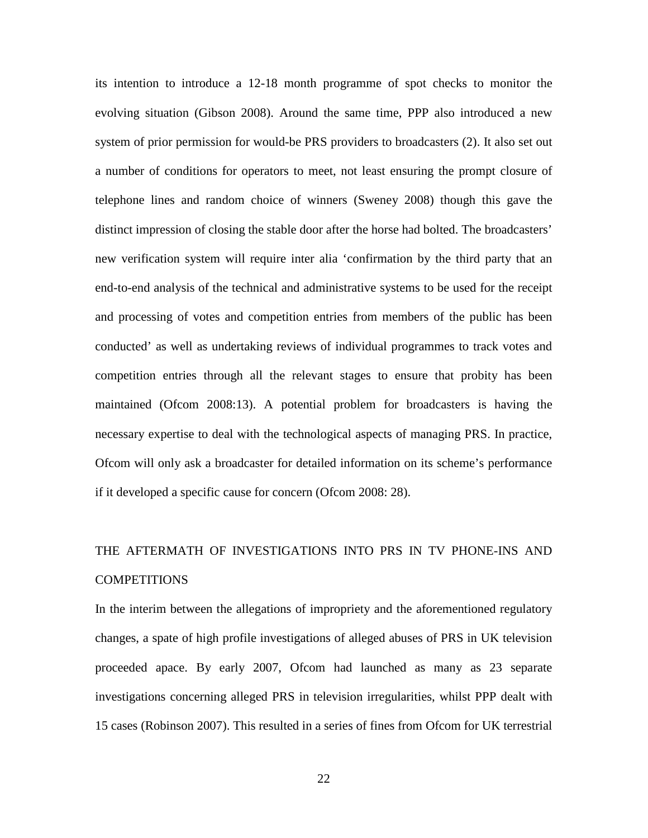its intention to introduce a 12-18 month programme of spot checks to monitor the evolving situation (Gibson 2008). Around the same time, PPP also introduced a new system of prior permission for would-be PRS providers to broadcasters (2). It also set out a number of conditions for operators to meet, not least ensuring the prompt closure of telephone lines and random choice of winners (Sweney 2008) though this gave the distinct impression of closing the stable door after the horse had bolted. The broadcasters' new verification system will require inter alia 'confirmation by the third party that an end-to-end analysis of the technical and administrative systems to be used for the receipt and processing of votes and competition entries from members of the public has been conducted' as well as undertaking reviews of individual programmes to track votes and competition entries through all the relevant stages to ensure that probity has been maintained (Ofcom 2008:13). A potential problem for broadcasters is having the necessary expertise to deal with the technological aspects of managing PRS. In practice, Ofcom will only ask a broadcaster for detailed information on its scheme's performance if it developed a specific cause for concern (Ofcom 2008: 28).

# THE AFTERMATH OF INVESTIGATIONS INTO PRS IN TV PHONE-INS AND COMPETITIONS

In the interim between the allegations of impropriety and the aforementioned regulatory changes, a spate of high profile investigations of alleged abuses of PRS in UK television proceeded apace. By early 2007, Ofcom had launched as many as 23 separate investigations concerning alleged PRS in television irregularities, whilst PPP dealt with 15 cases (Robinson 2007). This resulted in a series of fines from Ofcom for UK terrestrial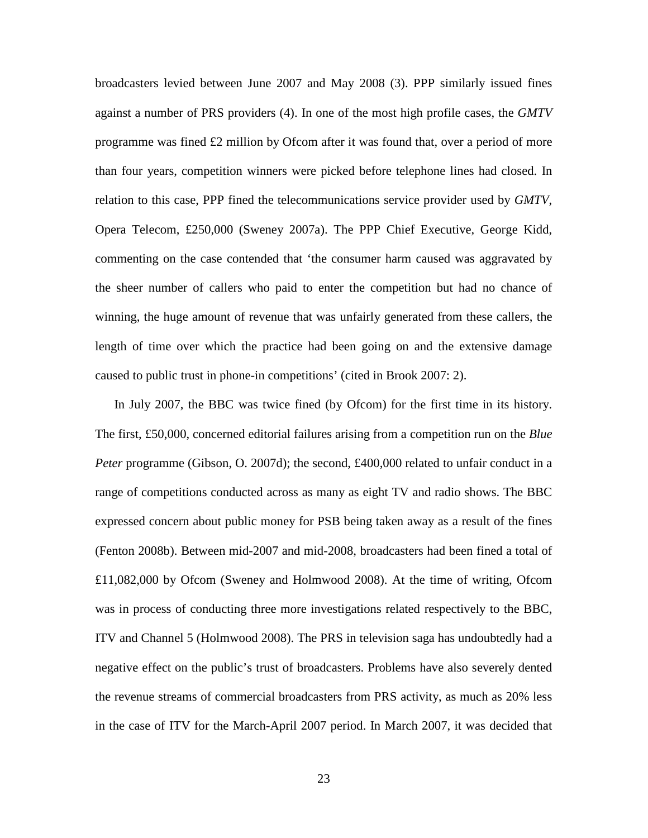broadcasters levied between June 2007 and May 2008 (3). PPP similarly issued fines against a number of PRS providers (4). In one of the most high profile cases, the *GMTV*  programme was fined £2 million by Ofcom after it was found that, over a period of more than four years, competition winners were picked before telephone lines had closed. In relation to this case, PPP fined the telecommunications service provider used by *GMTV*, Opera Telecom, £250,000 (Sweney 2007a). The PPP Chief Executive, George Kidd, commenting on the case contended that 'the consumer harm caused was aggravated by the sheer number of callers who paid to enter the competition but had no chance of winning, the huge amount of revenue that was unfairly generated from these callers, the length of time over which the practice had been going on and the extensive damage caused to public trust in phone-in competitions' (cited in Brook 2007: 2).

In July 2007, the BBC was twice fined (by Ofcom) for the first time in its history. The first, £50,000, concerned editorial failures arising from a competition run on the *Blue Peter* programme (Gibson, O. 2007d); the second, £400,000 related to unfair conduct in a range of competitions conducted across as many as eight TV and radio shows. The BBC expressed concern about public money for PSB being taken away as a result of the fines (Fenton 2008b). Between mid-2007 and mid-2008, broadcasters had been fined a total of £11,082,000 by Ofcom (Sweney and Holmwood 2008). At the time of writing, Ofcom was in process of conducting three more investigations related respectively to the BBC, ITV and Channel 5 (Holmwood 2008). The PRS in television saga has undoubtedly had a negative effect on the public's trust of broadcasters. Problems have also severely dented the revenue streams of commercial broadcasters from PRS activity, as much as 20% less in the case of ITV for the March-April 2007 period. In March 2007, it was decided that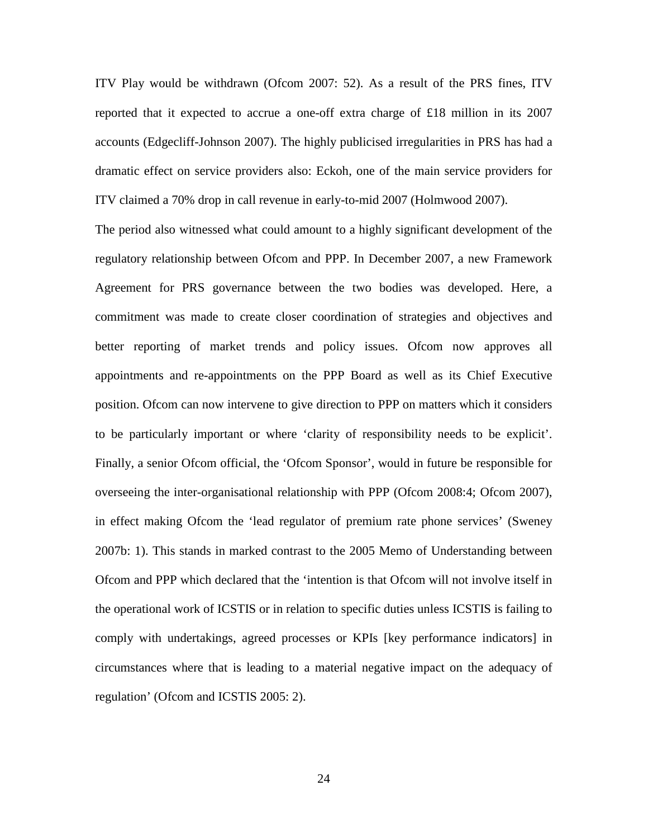ITV Play would be withdrawn (Ofcom 2007: 52). As a result of the PRS fines, ITV reported that it expected to accrue a one-off extra charge of £18 million in its 2007 accounts (Edgecliff-Johnson 2007). The highly publicised irregularities in PRS has had a dramatic effect on service providers also: Eckoh, one of the main service providers for ITV claimed a 70% drop in call revenue in early-to-mid 2007 (Holmwood 2007).

The period also witnessed what could amount to a highly significant development of the regulatory relationship between Ofcom and PPP. In December 2007, a new Framework Agreement for PRS governance between the two bodies was developed. Here, a commitment was made to create closer coordination of strategies and objectives and better reporting of market trends and policy issues. Ofcom now approves all appointments and re-appointments on the PPP Board as well as its Chief Executive position. Ofcom can now intervene to give direction to PPP on matters which it considers to be particularly important or where 'clarity of responsibility needs to be explicit'. Finally, a senior Ofcom official, the 'Ofcom Sponsor', would in future be responsible for overseeing the inter-organisational relationship with PPP (Ofcom 2008:4; Ofcom 2007), in effect making Ofcom the 'lead regulator of premium rate phone services' (Sweney 2007b: 1). This stands in marked contrast to the 2005 Memo of Understanding between Ofcom and PPP which declared that the 'intention is that Ofcom will not involve itself in the operational work of ICSTIS or in relation to specific duties unless ICSTIS is failing to comply with undertakings, agreed processes or KPIs [key performance indicators] in circumstances where that is leading to a material negative impact on the adequacy of regulation' (Ofcom and ICSTIS 2005: 2).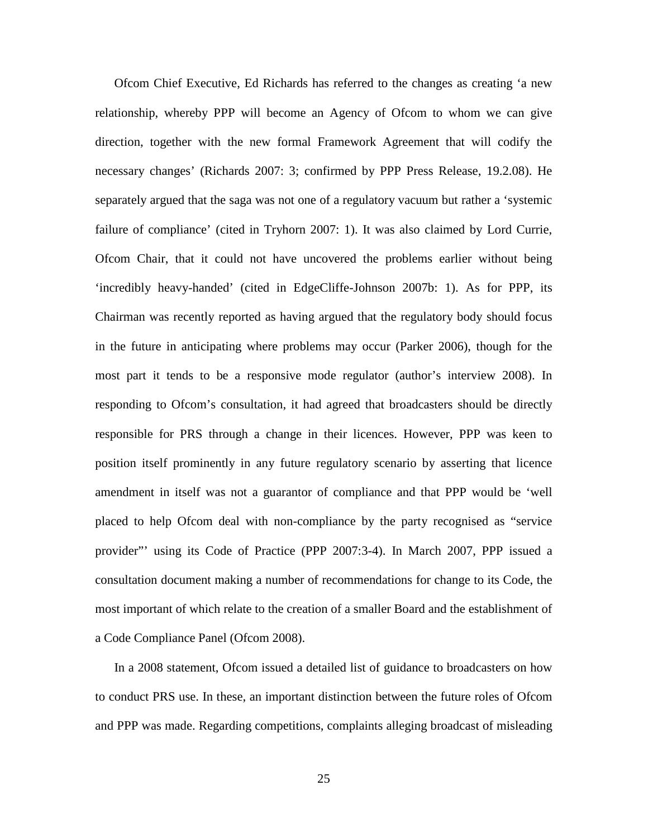Ofcom Chief Executive, Ed Richards has referred to the changes as creating 'a new relationship, whereby PPP will become an Agency of Ofcom to whom we can give direction, together with the new formal Framework Agreement that will codify the necessary changes' (Richards 2007: 3; confirmed by PPP Press Release, 19.2.08). He separately argued that the saga was not one of a regulatory vacuum but rather a 'systemic failure of compliance' (cited in Tryhorn 2007: 1). It was also claimed by Lord Currie, Ofcom Chair, that it could not have uncovered the problems earlier without being 'incredibly heavy-handed' (cited in EdgeCliffe-Johnson 2007b: 1). As for PPP, its Chairman was recently reported as having argued that the regulatory body should focus in the future in anticipating where problems may occur (Parker 2006), though for the most part it tends to be a responsive mode regulator (author's interview 2008). In responding to Ofcom's consultation, it had agreed that broadcasters should be directly responsible for PRS through a change in their licences. However, PPP was keen to position itself prominently in any future regulatory scenario by asserting that licence amendment in itself was not a guarantor of compliance and that PPP would be 'well placed to help Ofcom deal with non-compliance by the party recognised as "service provider"' using its Code of Practice (PPP 2007:3-4). In March 2007, PPP issued a consultation document making a number of recommendations for change to its Code, the most important of which relate to the creation of a smaller Board and the establishment of a Code Compliance Panel (Ofcom 2008).

In a 2008 statement, Ofcom issued a detailed list of guidance to broadcasters on how to conduct PRS use. In these, an important distinction between the future roles of Ofcom and PPP was made. Regarding competitions, complaints alleging broadcast of misleading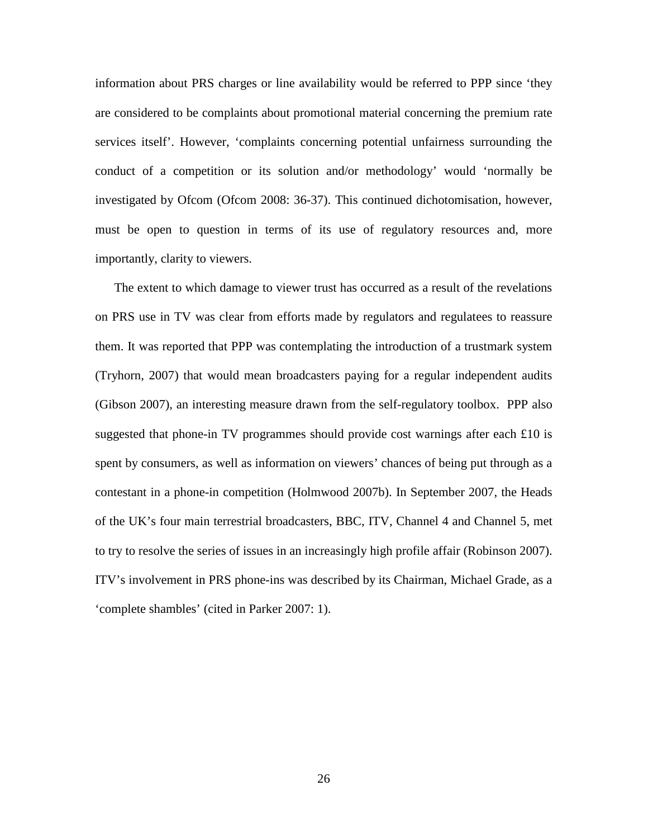information about PRS charges or line availability would be referred to PPP since 'they are considered to be complaints about promotional material concerning the premium rate services itself'. However, 'complaints concerning potential unfairness surrounding the conduct of a competition or its solution and/or methodology' would 'normally be investigated by Ofcom (Ofcom 2008: 36-37). This continued dichotomisation, however, must be open to question in terms of its use of regulatory resources and, more importantly, clarity to viewers.

The extent to which damage to viewer trust has occurred as a result of the revelations on PRS use in TV was clear from efforts made by regulators and regulatees to reassure them. It was reported that PPP was contemplating the introduction of a trustmark system (Tryhorn, 2007) that would mean broadcasters paying for a regular independent audits (Gibson 2007), an interesting measure drawn from the self-regulatory toolbox. PPP also suggested that phone-in TV programmes should provide cost warnings after each £10 is spent by consumers, as well as information on viewers' chances of being put through as a contestant in a phone-in competition (Holmwood 2007b). In September 2007, the Heads of the UK's four main terrestrial broadcasters, BBC, ITV, Channel 4 and Channel 5, met to try to resolve the series of issues in an increasingly high profile affair (Robinson 2007). ITV's involvement in PRS phone-ins was described by its Chairman, Michael Grade, as a 'complete shambles' (cited in Parker 2007: 1).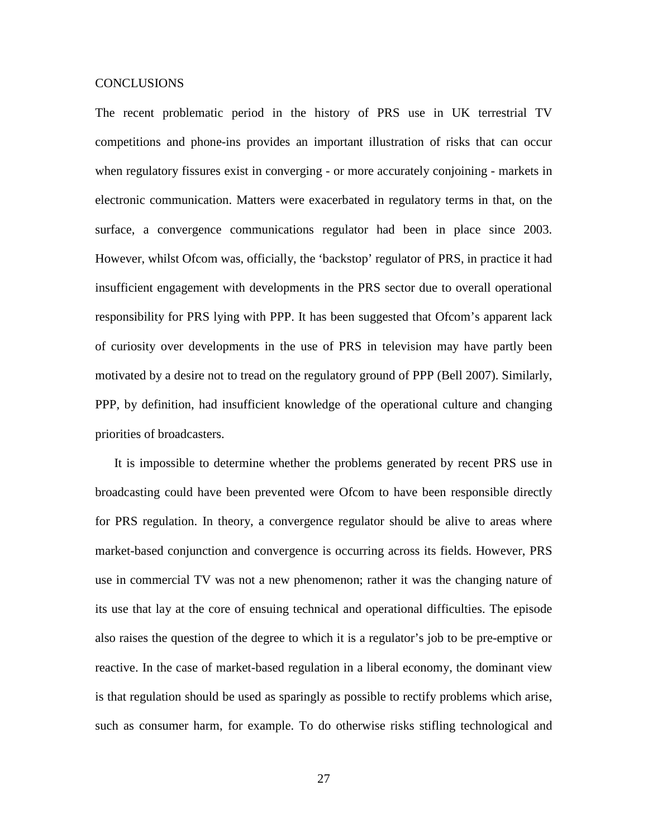#### CONCLUSIONS

The recent problematic period in the history of PRS use in UK terrestrial TV competitions and phone-ins provides an important illustration of risks that can occur when regulatory fissures exist in converging - or more accurately conjoining - markets in electronic communication. Matters were exacerbated in regulatory terms in that, on the surface, a convergence communications regulator had been in place since 2003. However, whilst Ofcom was, officially, the 'backstop' regulator of PRS, in practice it had insufficient engagement with developments in the PRS sector due to overall operational responsibility for PRS lying with PPP. It has been suggested that Ofcom's apparent lack of curiosity over developments in the use of PRS in television may have partly been motivated by a desire not to tread on the regulatory ground of PPP (Bell 2007). Similarly, PPP, by definition, had insufficient knowledge of the operational culture and changing priorities of broadcasters.

It is impossible to determine whether the problems generated by recent PRS use in broadcasting could have been prevented were Ofcom to have been responsible directly for PRS regulation. In theory, a convergence regulator should be alive to areas where market-based conjunction and convergence is occurring across its fields. However, PRS use in commercial TV was not a new phenomenon; rather it was the changing nature of its use that lay at the core of ensuing technical and operational difficulties. The episode also raises the question of the degree to which it is a regulator's job to be pre-emptive or reactive. In the case of market-based regulation in a liberal economy, the dominant view is that regulation should be used as sparingly as possible to rectify problems which arise, such as consumer harm, for example. To do otherwise risks stifling technological and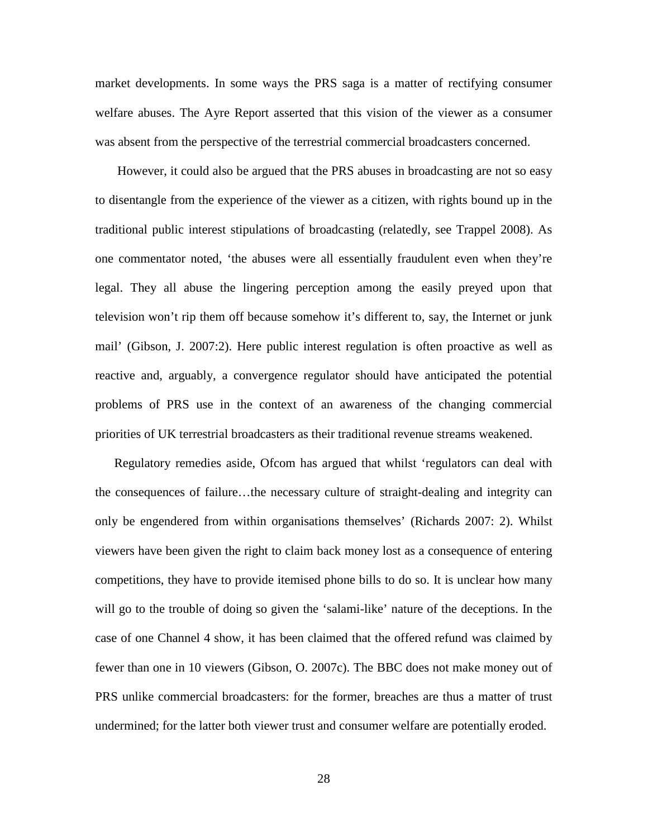market developments. In some ways the PRS saga is a matter of rectifying consumer welfare abuses. The Ayre Report asserted that this vision of the viewer as a consumer was absent from the perspective of the terrestrial commercial broadcasters concerned.

However, it could also be argued that the PRS abuses in broadcasting are not so easy to disentangle from the experience of the viewer as a citizen, with rights bound up in the traditional public interest stipulations of broadcasting (relatedly, see Trappel 2008). As one commentator noted, 'the abuses were all essentially fraudulent even when they're legal. They all abuse the lingering perception among the easily preyed upon that television won't rip them off because somehow it's different to, say, the Internet or junk mail' (Gibson, J. 2007:2). Here public interest regulation is often proactive as well as reactive and, arguably, a convergence regulator should have anticipated the potential problems of PRS use in the context of an awareness of the changing commercial priorities of UK terrestrial broadcasters as their traditional revenue streams weakened.

Regulatory remedies aside, Ofcom has argued that whilst 'regulators can deal with the consequences of failure…the necessary culture of straight-dealing and integrity can only be engendered from within organisations themselves' (Richards 2007: 2). Whilst viewers have been given the right to claim back money lost as a consequence of entering competitions, they have to provide itemised phone bills to do so. It is unclear how many will go to the trouble of doing so given the 'salami-like' nature of the deceptions. In the case of one Channel 4 show, it has been claimed that the offered refund was claimed by fewer than one in 10 viewers (Gibson, O. 2007c). The BBC does not make money out of PRS unlike commercial broadcasters: for the former, breaches are thus a matter of trust undermined; for the latter both viewer trust and consumer welfare are potentially eroded.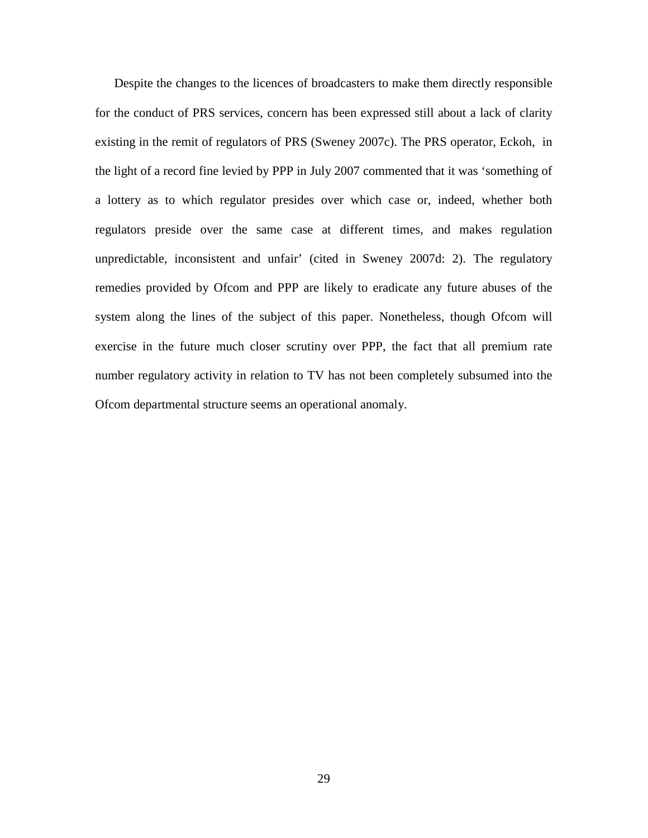Despite the changes to the licences of broadcasters to make them directly responsible for the conduct of PRS services, concern has been expressed still about a lack of clarity existing in the remit of regulators of PRS (Sweney 2007c). The PRS operator, Eckoh, in the light of a record fine levied by PPP in July 2007 commented that it was 'something of a lottery as to which regulator presides over which case or, indeed, whether both regulators preside over the same case at different times, and makes regulation unpredictable, inconsistent and unfair' (cited in Sweney 2007d: 2). The regulatory remedies provided by Ofcom and PPP are likely to eradicate any future abuses of the system along the lines of the subject of this paper. Nonetheless, though Ofcom will exercise in the future much closer scrutiny over PPP, the fact that all premium rate number regulatory activity in relation to TV has not been completely subsumed into the Ofcom departmental structure seems an operational anomaly.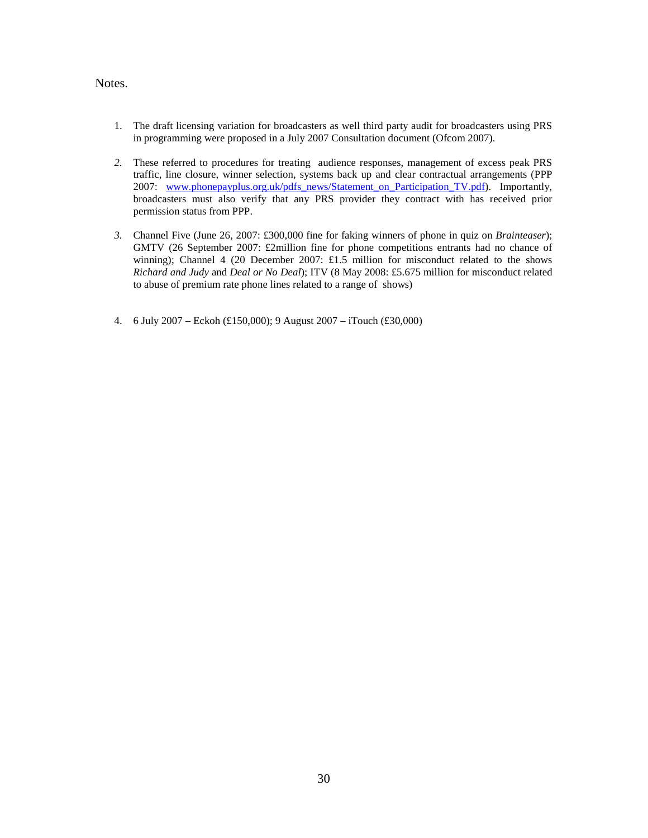## Notes.

- 1. The draft licensing variation for broadcasters as well third party audit for broadcasters using PRS in programming were proposed in a July 2007 Consultation document (Ofcom 2007).
- *2.* These referred to procedures for treating audience responses, management of excess peak PRS traffic, line closure, winner selection, systems back up and clear contractual arrangements (PPP 2007: [www.phonepayplus.org.uk/pdfs\\_news/Statement\\_on\\_Participation\\_TV.pdf\)](http://www.phonepayplus.org.uk/pdfs_news/Statement_on_Participation_TV.pdf). Importantly, broadcasters must also verify that any PRS provider they contract with has received prior permission status from PPP.
- *3.* Channel Five (June 26, 2007: £300,000 fine for faking winners of phone in quiz on *Brainteaser*); GMTV (26 September 2007: £2million fine for phone competitions entrants had no chance of winning); Channel 4 (20 December 2007: £1.5 million for misconduct related to the shows *Richard and Judy* and *Deal or No Deal*); ITV (8 May 2008: £5.675 million for misconduct related to abuse of premium rate phone lines related to a range of shows)
- 4. 6 July 2007 Eckoh (£150,000); 9 August 2007 iTouch (£30,000)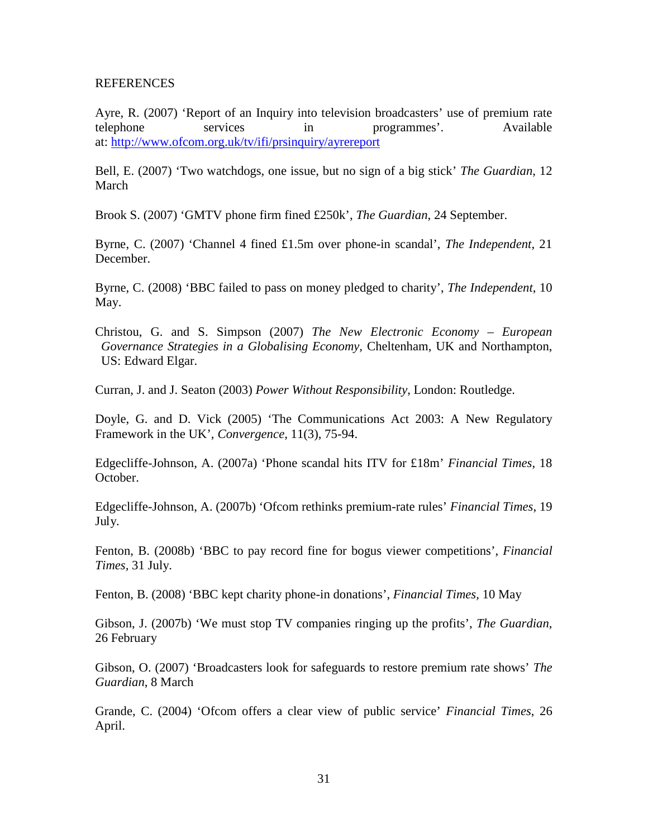## REFERENCES

Ayre, R. (2007) 'Report of an Inquiry into television broadcasters' use of premium rate telephone services in programmes'. Available at: [http://www.ofcom.org.uk/tv/ifi/prsinquiry/ayrereport](http://www.ofcom.org.uk/tv/ifi/prsinquiry/ayrereport/)

Bell, E. (2007) 'Two watchdogs, one issue, but no sign of a big stick' *The Guardian*, 12 March

Brook S. (2007) 'GMTV phone firm fined £250k', *The Guardian*, 24 September.

Byrne, C. (2007) 'Channel 4 fined £1.5m over phone-in scandal', *The Independent*, 21 December.

Byrne, C. (2008) 'BBC failed to pass on money pledged to charity', *The Independent*, 10 May.

Christou, G. and S. Simpson (2007) *The New Electronic Economy – European Governance Strategies in a Globalising Economy,* Cheltenham, UK and Northampton, US: Edward Elgar.

Curran, J. and J. Seaton (2003) *Power Without Responsibility*, London: Routledge.

Doyle, G. and D. Vick (2005) 'The Communications Act 2003: A New Regulatory Framework in the UK', *Convergence*, 11(3), 75-94.

Edgecliffe-Johnson, A. (2007a) 'Phone scandal hits ITV for £18m' *Financial Times*, 18 October.

Edgecliffe-Johnson, A. (2007b) 'Ofcom rethinks premium-rate rules' *Financial Times*, 19 July.

Fenton, B. (2008b) 'BBC to pay record fine for bogus viewer competitions', *Financial Times,* 31 July.

Fenton, B. (2008) 'BBC kept charity phone-in donations', *Financial Times,* 10 May

Gibson, J. (2007b) 'We must stop TV companies ringing up the profits', *The Guardian*, 26 February

Gibson, O. (2007) 'Broadcasters look for safeguards to restore premium rate shows' *The Guardian*, 8 March

Grande, C. (2004) 'Ofcom offers a clear view of public service' *Financial Times*, 26 April.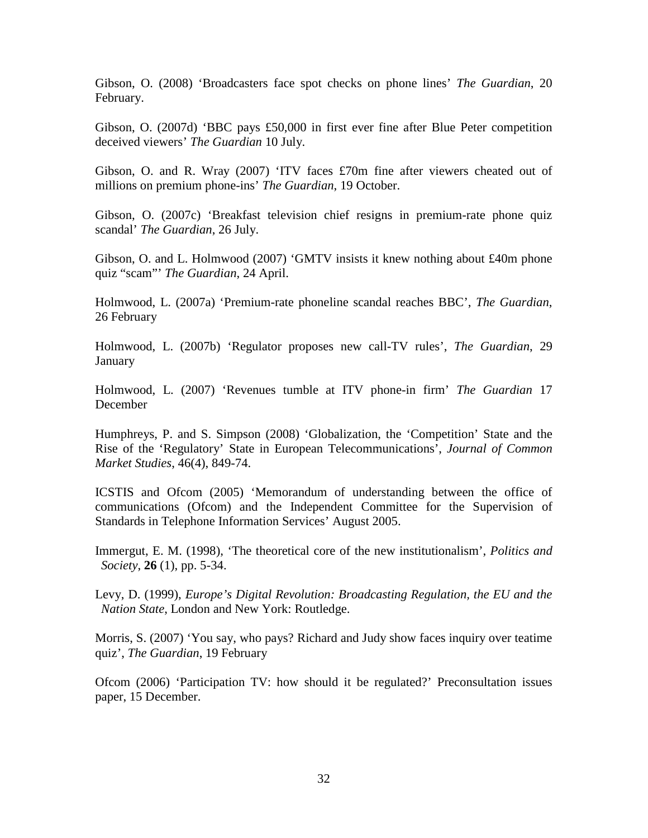Gibson, O. (2008) 'Broadcasters face spot checks on phone lines' *The Guardian*, 20 February.

Gibson, O. (2007d) 'BBC pays £50,000 in first ever fine after Blue Peter competition deceived viewers' *The Guardian* 10 July.

Gibson, O. and R. Wray (2007) 'ITV faces £70m fine after viewers cheated out of millions on premium phone-ins' *The Guardian*, 19 October.

Gibson, O. (2007c) 'Breakfast television chief resigns in premium-rate phone quiz scandal' *The Guardian*, 26 July.

Gibson, O. and L. Holmwood (2007) 'GMTV insists it knew nothing about £40m phone quiz "scam"' *The Guardian*, 24 April.

Holmwood, L. (2007a) 'Premium-rate phoneline scandal reaches BBC', *The Guardian*, 26 February

Holmwood, L. (2007b) 'Regulator proposes new call-TV rules', *The Guardian*, 29 January

Holmwood, L. (2007) 'Revenues tumble at ITV phone-in firm' *The Guardian* 17 December

Humphreys, P. and S. Simpson (2008) 'Globalization, the 'Competition' State and the Rise of the 'Regulatory' State in European Telecommunications', *Journal of Common Market Studies*, 46(4), 849-74.

ICSTIS and Ofcom (2005) 'Memorandum of understanding between the office of communications (Ofcom) and the Independent Committee for the Supervision of Standards in Telephone Information Services' August 2005.

Immergut, E. M. (1998), 'The theoretical core of the new institutionalism', *Politics and Society*, **26** (1), pp. 5-34.

Levy, D. (1999), *Europe's Digital Revolution: Broadcasting Regulation, the EU and the Nation State*, London and New York: Routledge.

Morris, S. (2007) 'You say, who pays? Richard and Judy show faces inquiry over teatime quiz', *The Guardian*, 19 February

Ofcom (2006) 'Participation TV: how should it be regulated?' Preconsultation issues paper, 15 December.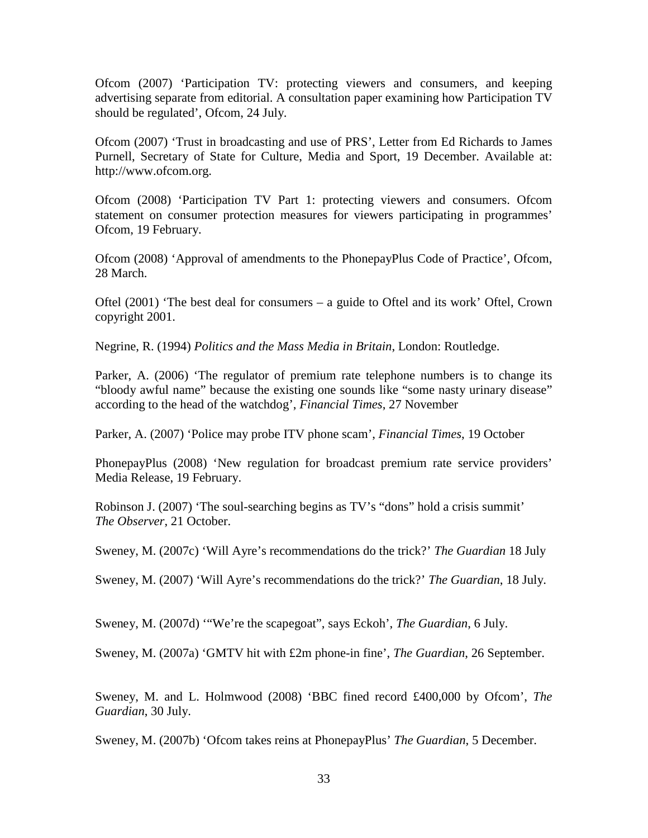Ofcom (2007) 'Participation TV: protecting viewers and consumers, and keeping advertising separate from editorial. A consultation paper examining how Participation TV should be regulated', Ofcom, 24 July.

Ofcom (2007) 'Trust in broadcasting and use of PRS', Letter from Ed Richards to James Purnell, Secretary of State for Culture, Media and Sport, 19 December. Available at: http://www.ofcom.org.

Ofcom (2008) 'Participation TV Part 1: protecting viewers and consumers. Ofcom statement on consumer protection measures for viewers participating in programmes' Ofcom, 19 February.

Ofcom (2008) 'Approval of amendments to the PhonepayPlus Code of Practice', Ofcom, 28 March.

Oftel (2001) 'The best deal for consumers – a guide to Oftel and its work' Oftel, Crown copyright 2001.

Negrine, R. (1994) *Politics and the Mass Media in Britain*, London: Routledge.

Parker, A. (2006) 'The regulator of premium rate telephone numbers is to change its "bloody awful name" because the existing one sounds like "some nasty urinary disease" according to the head of the watchdog', *Financial Times*, 27 November

Parker, A. (2007) 'Police may probe ITV phone scam', *Financial Times*, 19 October

PhonepayPlus (2008) 'New regulation for broadcast premium rate service providers' Media Release, 19 February.

Robinson J. (2007) 'The soul-searching begins as TV's "dons" hold a crisis summit' *The Observer*, 21 October.

Sweney, M. (2007c) 'Will Ayre's recommendations do the trick?' *The Guardian* 18 July

Sweney, M. (2007) 'Will Ayre's recommendations do the trick?' *The Guardian*, 18 July.

Sweney, M. (2007d) '"We're the scapegoat", says Eckoh', *The Guardian*, 6 July.

Sweney, M. (2007a) 'GMTV hit with £2m phone-in fine', *The Guardian*, 26 September.

Sweney, M. and L. Holmwood (2008) 'BBC fined record £400,000 by Ofcom', *The Guardian*, 30 July.

Sweney, M. (2007b) 'Ofcom takes reins at PhonepayPlus' *The Guardian*, 5 December.